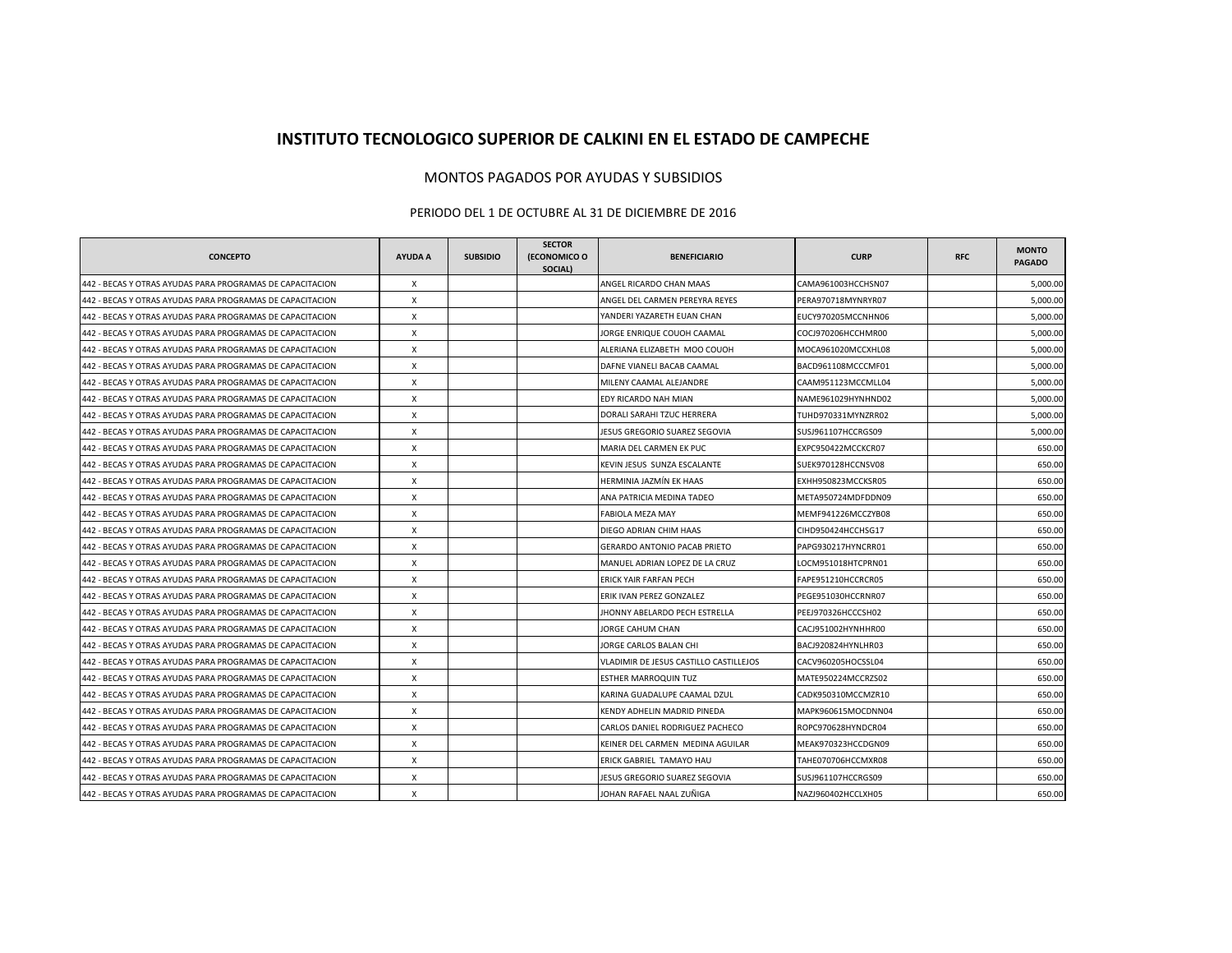## **INSTITUTO TECNOLOGICO SUPERIOR DE CALKINI EN EL ESTADO DE CAMPECHE**

## MONTOS PAGADOS POR AYUDAS Y SUBSIDIOS

## PERIODO DEL 1 DE OCTUBRE AL 31 DE DICIEMBRE DE 2016

| <b>CONCEPTO</b>                                           | <b>AYUDA A</b> | <b>SUBSIDIO</b> | <b>SECTOR</b><br>(ECONOMICO O<br>SOCIAL) | <b>BENEFICIARIO</b>                    | <b>CURP</b>        | <b>RFC</b> | <b>MONTO</b><br><b>PAGADO</b> |
|-----------------------------------------------------------|----------------|-----------------|------------------------------------------|----------------------------------------|--------------------|------------|-------------------------------|
| 442 - BECAS Y OTRAS AYUDAS PARA PROGRAMAS DE CAPACITACION | X              |                 |                                          | ANGEL RICARDO CHAN MAAS                | CAMA961003HCCHSN07 |            | 5,000.00                      |
| 442 - BECAS Y OTRAS AYUDAS PARA PROGRAMAS DE CAPACITACION | X              |                 |                                          | ANGEL DEL CARMEN PEREYRA REYES         | PERA970718MYNRYR07 |            | 5,000.00                      |
| 442 - BECAS Y OTRAS AYUDAS PARA PROGRAMAS DE CAPACITACION | X              |                 |                                          | YANDERI YAZARETH EUAN CHAN             | EUCY970205MCCNHN06 |            | 5,000.00                      |
| 442 - BECAS Y OTRAS AYUDAS PARA PROGRAMAS DE CAPACITACION | X              |                 |                                          | JORGE ENRIQUE COUOH CAAMAL             | COCJ970206HCCHMR00 |            | 5,000.00                      |
| 442 - BECAS Y OTRAS AYUDAS PARA PROGRAMAS DE CAPACITACION | X              |                 |                                          | ALERIANA ELIZABETH MOO COUOH           | MOCA961020MCCXHL08 |            | 5,000.00                      |
| 442 - BECAS Y OTRAS AYUDAS PARA PROGRAMAS DE CAPACITACION | X              |                 |                                          | DAFNE VIANELI BACAB CAAMAL             | BACD961108MCCCMF01 |            | 5,000.00                      |
| 442 - BECAS Y OTRAS AYUDAS PARA PROGRAMAS DE CAPACITACION | Х              |                 |                                          | MILENY CAAMAL ALEJANDRE                | CAAM951123MCCMLL04 |            | 5,000.00                      |
| 442 - BECAS Y OTRAS AYUDAS PARA PROGRAMAS DE CAPACITACION | X              |                 |                                          | EDY RICARDO NAH MIAN                   | NAME961029HYNHND02 |            | 5,000.00                      |
| 442 - BECAS Y OTRAS AYUDAS PARA PROGRAMAS DE CAPACITACION | X              |                 |                                          | DORALI SARAHI TZUC HERRERA             | TUHD970331MYNZRR02 |            | 5,000.00                      |
| 442 - BECAS Y OTRAS AYUDAS PARA PROGRAMAS DE CAPACITACION | X              |                 |                                          | JESUS GREGORIO SUAREZ SEGOVIA          | SUSJ961107HCCRGS09 |            | 5,000.00                      |
| 442 - BECAS Y OTRAS AYUDAS PARA PROGRAMAS DE CAPACITACION | X              |                 |                                          | MARIA DEL CARMEN EK PUC                | EXPC950422MCCKCR07 |            | 650.00                        |
| 442 - BECAS Y OTRAS AYUDAS PARA PROGRAMAS DE CAPACITACION | X              |                 |                                          | KEVIN JESUS SUNZA ESCALANTE            | SUEK970128HCCNSV08 |            | 650.00                        |
| 442 - BECAS Y OTRAS AYUDAS PARA PROGRAMAS DE CAPACITACION | X              |                 |                                          | HERMINIA JAZMÍN EK HAAS                | EXHH950823MCCKSR05 |            | 650.00                        |
| 442 - BECAS Y OTRAS AYUDAS PARA PROGRAMAS DE CAPACITACION | X              |                 |                                          | ANA PATRICIA MEDINA TADEO              | META950724MDFDDN09 |            | 650.00                        |
| 442 - BECAS Y OTRAS AYUDAS PARA PROGRAMAS DE CAPACITACION | X              |                 |                                          | FABIOLA MEZA MAY                       | MEMF941226MCCZYB08 |            | 650.00                        |
| 442 - BECAS Y OTRAS AYUDAS PARA PROGRAMAS DE CAPACITACION | X              |                 |                                          | DIEGO ADRIAN CHIM HAAS                 | CIHD950424HCCHSG17 |            | 650.00                        |
| 442 - BECAS Y OTRAS AYUDAS PARA PROGRAMAS DE CAPACITACION | X              |                 |                                          | <b>GERARDO ANTONIO PACAB PRIETO</b>    | PAPG930217HYNCRR01 |            | 650.00                        |
| 442 - BECAS Y OTRAS AYUDAS PARA PROGRAMAS DE CAPACITACION | X              |                 |                                          | MANUEL ADRIAN LOPEZ DE LA CRUZ         | LOCM951018HTCPRN01 |            | 650.00                        |
| 442 - BECAS Y OTRAS AYUDAS PARA PROGRAMAS DE CAPACITACION | X              |                 |                                          | ERICK YAIR FARFAN PECH                 | FAPE951210HCCRCR05 |            | 650.00                        |
| 442 - BECAS Y OTRAS AYUDAS PARA PROGRAMAS DE CAPACITACION | X              |                 |                                          | ERIK IVAN PEREZ GONZALEZ               | PEGE951030HCCRNR07 |            | 650.00                        |
| 442 - BECAS Y OTRAS AYUDAS PARA PROGRAMAS DE CAPACITACION | X              |                 |                                          | JHONNY ABELARDO PECH ESTRELLA          | PEEJ970326HCCCSH02 |            | 650.00                        |
| 442 - BECAS Y OTRAS AYUDAS PARA PROGRAMAS DE CAPACITACION | X              |                 |                                          | JORGE CAHUM CHAN                       | CACJ951002HYNHHR00 |            | 650.00                        |
| 442 - BECAS Y OTRAS AYUDAS PARA PROGRAMAS DE CAPACITACION | X              |                 |                                          | JORGE CARLOS BALAN CHI                 | BACJ920824HYNLHR03 |            | 650.00                        |
| 442 - BECAS Y OTRAS AYUDAS PARA PROGRAMAS DE CAPACITACION | X              |                 |                                          | VLADIMIR DE JESUS CASTILLO CASTILLEJOS | CACV960205HOCSSL04 |            | 650.00                        |
| 442 - BECAS Y OTRAS AYUDAS PARA PROGRAMAS DE CAPACITACION | X              |                 |                                          | <b>ESTHER MARROQUIN TUZ</b>            | MATE950224MCCRZS02 |            | 650.00                        |
| 442 - BECAS Y OTRAS AYUDAS PARA PROGRAMAS DE CAPACITACION | X              |                 |                                          | KARINA GUADALUPE CAAMAL DZUL           | CADK950310MCCMZR10 |            | 650.00                        |
| 442 - BECAS Y OTRAS AYUDAS PARA PROGRAMAS DE CAPACITACION | X              |                 |                                          | KENDY ADHELIN MADRID PINEDA            | MAPK960615MOCDNN04 |            | 650.00                        |
| 442 - BECAS Y OTRAS AYUDAS PARA PROGRAMAS DE CAPACITACION | X              |                 |                                          | CARLOS DANIEL RODRIGUEZ PACHECO        | ROPC970628HYNDCR04 |            | 650.00                        |
| 442 - BECAS Y OTRAS AYUDAS PARA PROGRAMAS DE CAPACITACION | X              |                 |                                          | KEINER DEL CARMEN MEDINA AGUILAR       | MEAK970323HCCDGN09 |            | 650.00                        |
| 442 - BECAS Y OTRAS AYUDAS PARA PROGRAMAS DE CAPACITACION | Х              |                 |                                          | ERICK GABRIEL TAMAYO HAU               | TAHE070706HCCMXR08 |            | 650.00                        |
| 442 - BECAS Y OTRAS AYUDAS PARA PROGRAMAS DE CAPACITACION | Х              |                 |                                          | JESUS GREGORIO SUAREZ SEGOVIA          | SUSJ961107HCCRGS09 |            | 650.00                        |
| 442 - BECAS Y OTRAS AYUDAS PARA PROGRAMAS DE CAPACITACION | X              |                 |                                          | JOHAN RAFAEL NAAL ZUÑIGA               | NAZJ960402HCCLXH05 |            | 650.00                        |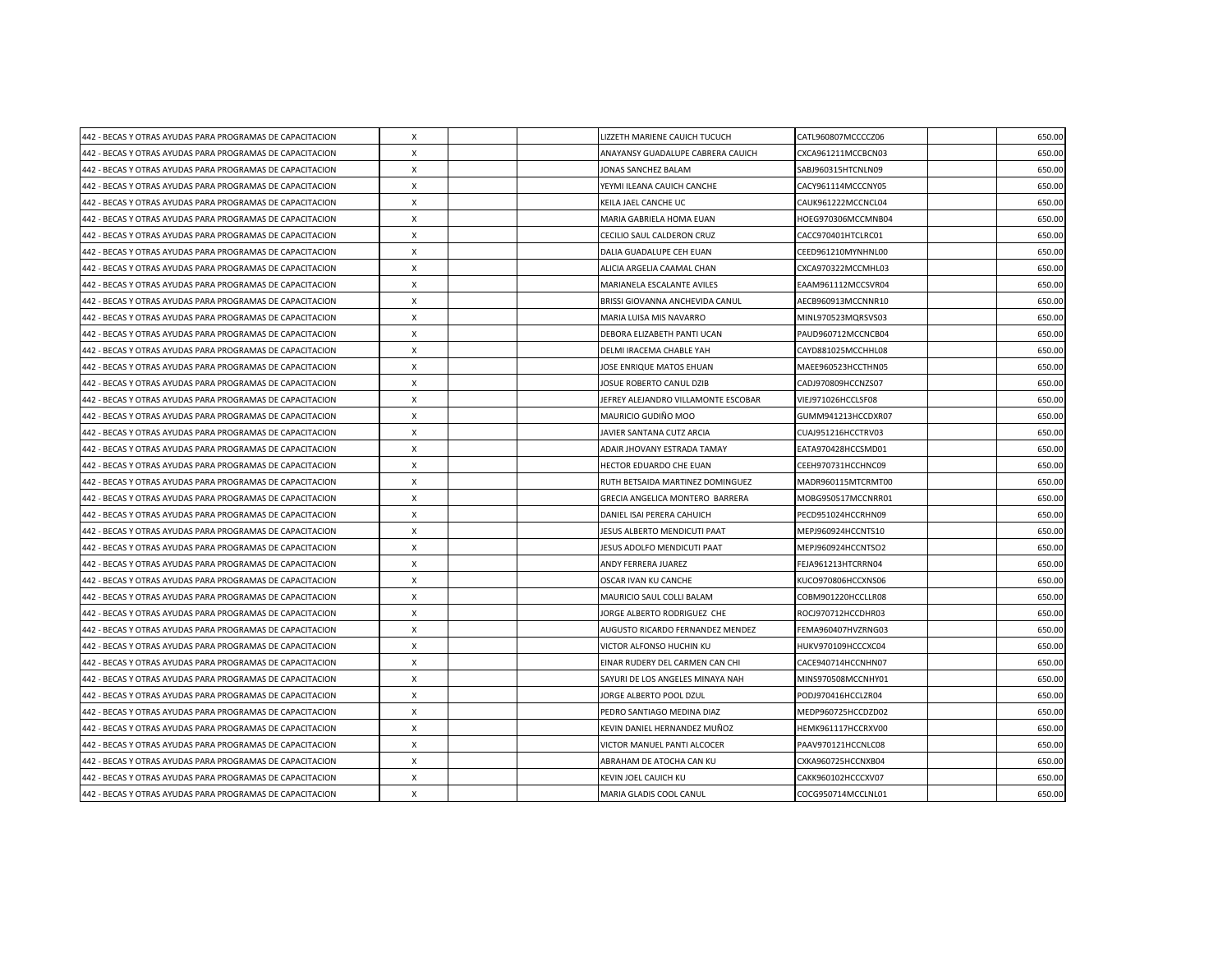| 442 - BECAS Y OTRAS AYUDAS PARA PROGRAMAS DE CAPACITACION | X                         |  | LIZZETH MARIENE CAUICH TUCUCH       | CATL960807MCCCCZ06 | 650.00 |
|-----------------------------------------------------------|---------------------------|--|-------------------------------------|--------------------|--------|
| 442 - BECAS Y OTRAS AYUDAS PARA PROGRAMAS DE CAPACITACION | X                         |  | ANAYANSY GUADALUPE CABRERA CAUICH   | CXCA961211MCCBCN03 | 650.00 |
| 442 - BECAS Y OTRAS AYUDAS PARA PROGRAMAS DE CAPACITACION | $\boldsymbol{\mathsf{X}}$ |  | JONAS SANCHEZ BALAM                 | SABJ960315HTCNLN09 | 650.00 |
| 442 - BECAS Y OTRAS AYUDAS PARA PROGRAMAS DE CAPACITACION | $\boldsymbol{\mathsf{X}}$ |  | YEYMI ILEANA CAUICH CANCHE          | CACY961114MCCCNY05 | 650.00 |
| 442 - BECAS Y OTRAS AYUDAS PARA PROGRAMAS DE CAPACITACION | X                         |  | KEILA JAEL CANCHE UC                | CAUK961222MCCNCL04 | 650.00 |
| 442 - BECAS Y OTRAS AYUDAS PARA PROGRAMAS DE CAPACITACION | $\boldsymbol{\mathsf{X}}$ |  | MARIA GABRIELA HOMA EUAN            | HOEG970306MCCMNB04 | 650.00 |
| 442 - BECAS Y OTRAS AYUDAS PARA PROGRAMAS DE CAPACITACION | X                         |  | CECILIO SAUL CALDERON CRUZ          | CACC970401HTCLRC01 | 650.00 |
| 442 - BECAS Y OTRAS AYUDAS PARA PROGRAMAS DE CAPACITACION | X                         |  | DALIA GUADALUPE CEH EUAN            | CEED961210MYNHNL00 | 650.00 |
| 442 - BECAS Y OTRAS AYUDAS PARA PROGRAMAS DE CAPACITACION | $\boldsymbol{\mathsf{X}}$ |  | ALICIA ARGELIA CAAMAL CHAN          | CXCA970322MCCMHL03 | 650.00 |
| 442 - BECAS Y OTRAS AYUDAS PARA PROGRAMAS DE CAPACITACION | $\boldsymbol{\mathsf{X}}$ |  | MARIANELA ESCALANTE AVILES          | EAAM961112MCCSVR04 | 650.00 |
| 442 - BECAS Y OTRAS AYUDAS PARA PROGRAMAS DE CAPACITACION | $\mathsf{x}$              |  | BRISSI GIOVANNA ANCHEVIDA CANUL     | AECB960913MCCNNR10 | 650.00 |
| 442 - BECAS Y OTRAS AYUDAS PARA PROGRAMAS DE CAPACITACION | $\boldsymbol{\mathsf{X}}$ |  | MARIA LUISA MIS NAVARRO             | MINL970523MQRSVS03 | 650.00 |
| 442 - BECAS Y OTRAS AYUDAS PARA PROGRAMAS DE CAPACITACION | X                         |  | DEBORA ELIZABETH PANTI UCAN         | PAUD960712MCCNCB04 | 650.00 |
| 442 - BECAS Y OTRAS AYUDAS PARA PROGRAMAS DE CAPACITACION | X                         |  | DELMI IRACEMA CHABLE YAH            | CAYD881025MCCHHL08 | 650.00 |
| 442 - BECAS Y OTRAS AYUDAS PARA PROGRAMAS DE CAPACITACION | $\times$                  |  | JOSE ENRIQUE MATOS EHUAN            | MAEE960523HCCTHN05 | 650.00 |
| 442 - BECAS Y OTRAS AYUDAS PARA PROGRAMAS DE CAPACITACION | X                         |  | JOSUE ROBERTO CANUL DZIB            | CADJ970809HCCNZS07 | 650.00 |
| 442 - BECAS Y OTRAS AYUDAS PARA PROGRAMAS DE CAPACITACION | X                         |  | JEFREY ALEJANDRO VILLAMONTE ESCOBAR | VIEJ971026HCCLSF08 | 650.00 |
| 442 - BECAS Y OTRAS AYUDAS PARA PROGRAMAS DE CAPACITACION | $\times$                  |  | MAURICIO GUDIÑO MOO                 | GUMM941213HCCDXR07 | 650.00 |
| 442 - BECAS Y OTRAS AYUDAS PARA PROGRAMAS DE CAPACITACION | X                         |  | JAVIER SANTANA CUTZ ARCIA           | CUAJ951216HCCTRV03 | 650.00 |
| 442 - BECAS Y OTRAS AYUDAS PARA PROGRAMAS DE CAPACITACION | X                         |  | ADAIR JHOVANY ESTRADA TAMAY         | EATA970428HCCSMD01 | 650.00 |
| 442 - BECAS Y OTRAS AYUDAS PARA PROGRAMAS DE CAPACITACION | X                         |  | HECTOR EDUARDO CHE EUAN             | CEEH970731HCCHNC09 | 650.00 |
| 442 - BECAS Y OTRAS AYUDAS PARA PROGRAMAS DE CAPACITACION | X                         |  | RUTH BETSAIDA MARTINEZ DOMINGUEZ    | MADR960115MTCRMT00 | 650.00 |
| 442 - BECAS Y OTRAS AYUDAS PARA PROGRAMAS DE CAPACITACION | X                         |  | GRECIA ANGELICA MONTERO BARRERA     | MOBG950517MCCNRR01 | 650.00 |
| 442 - BECAS Y OTRAS AYUDAS PARA PROGRAMAS DE CAPACITACION | $\times$                  |  | DANIEL ISAI PERERA CAHUICH          | PECD951024HCCRHN09 | 650.00 |
| 442 - BECAS Y OTRAS AYUDAS PARA PROGRAMAS DE CAPACITACION | X                         |  | JESUS ALBERTO MENDICUTI PAAT        | MEPJ960924HCCNTS10 | 650.00 |
| 442 - BECAS Y OTRAS AYUDAS PARA PROGRAMAS DE CAPACITACION | $\times$                  |  | JESUS ADOLFO MENDICUTI PAAT         | MEPJ960924HCCNTSO2 | 650.00 |
| 442 - BECAS Y OTRAS AYUDAS PARA PROGRAMAS DE CAPACITACION | X                         |  | ANDY FERRERA JUAREZ                 | FEJA961213HTCRRN04 | 650.00 |
| 442 - BECAS Y OTRAS AYUDAS PARA PROGRAMAS DE CAPACITACION | $\times$                  |  | OSCAR IVAN KU CANCHE                | KUCO970806HCCXNS06 | 650.00 |
| 442 - BECAS Y OTRAS AYUDAS PARA PROGRAMAS DE CAPACITACION | $\times$                  |  | MAURICIO SAUL COLLI BALAM           | COBM901220HCCLLR08 | 650.00 |
| 442 - BECAS Y OTRAS AYUDAS PARA PROGRAMAS DE CAPACITACION | X                         |  | JORGE ALBERTO RODRIGUEZ CHE         | ROCJ970712HCCDHR03 | 650.00 |
| 442 - BECAS Y OTRAS AYUDAS PARA PROGRAMAS DE CAPACITACION | $\times$                  |  | AUGUSTO RICARDO FERNANDEZ MENDEZ    | FEMA960407HVZRNG03 | 650.00 |
| 442 - BECAS Y OTRAS AYUDAS PARA PROGRAMAS DE CAPACITACION | X                         |  | VICTOR ALFONSO HUCHIN KU            | HUKV970109HCCCXC04 | 650.00 |
| 442 - BECAS Y OTRAS AYUDAS PARA PROGRAMAS DE CAPACITACION | X                         |  | EINAR RUDERY DEL CARMEN CAN CHI     | CACE940714HCCNHN07 | 650.00 |
| 442 - BECAS Y OTRAS AYUDAS PARA PROGRAMAS DE CAPACITACION | X                         |  | SAYURI DE LOS ANGELES MINAYA NAH    | MINS970508MCCNHY01 | 650.00 |
| 442 - BECAS Y OTRAS AYUDAS PARA PROGRAMAS DE CAPACITACION | X                         |  | JORGE ALBERTO POOL DZUL             | PODJ970416HCCLZR04 | 650.00 |
| 442 - BECAS Y OTRAS AYUDAS PARA PROGRAMAS DE CAPACITACION | X                         |  | PEDRO SANTIAGO MEDINA DIAZ          | MEDP960725HCCDZD02 | 650.00 |
| 442 - BECAS Y OTRAS AYUDAS PARA PROGRAMAS DE CAPACITACION | X                         |  | KEVIN DANIEL HERNANDEZ MUÑOZ        | HEMK961117HCCRXV00 | 650.00 |
| 442 - BECAS Y OTRAS AYUDAS PARA PROGRAMAS DE CAPACITACION | $\boldsymbol{\mathsf{X}}$ |  | VICTOR MANUEL PANTI ALCOCER         | PAAV970121HCCNLC08 | 650.00 |
| 442 - BECAS Y OTRAS AYUDAS PARA PROGRAMAS DE CAPACITACION | X                         |  | ABRAHAM DE ATOCHA CAN KU            | CXKA960725HCCNXB04 | 650.00 |
| 442 - BECAS Y OTRAS AYUDAS PARA PROGRAMAS DE CAPACITACION | X                         |  | KEVIN JOEL CAUICH KU                | CAKK960102HCCCXV07 | 650.00 |
| 442 - BECAS Y OTRAS AYUDAS PARA PROGRAMAS DE CAPACITACION | $\pmb{\times}$            |  | MARIA GLADIS COOL CANUL             | COCG950714MCCLNL01 | 650.00 |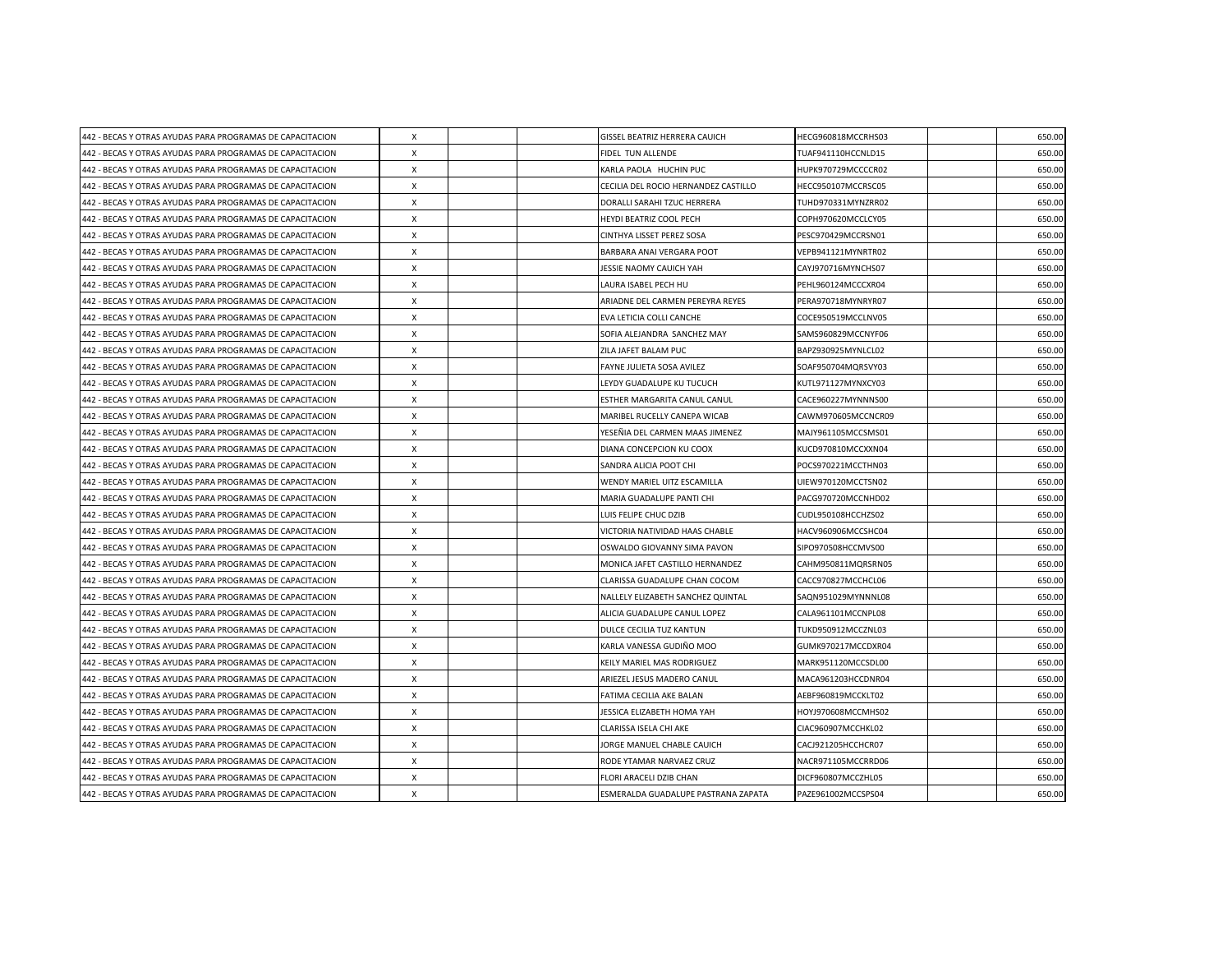| 442 - BECAS Y OTRAS AYUDAS PARA PROGRAMAS DE CAPACITACION | X                         |  | GISSEL BEATRIZ HERRERA CAUICH        | HECG960818MCCRHS03 | 650.00 |
|-----------------------------------------------------------|---------------------------|--|--------------------------------------|--------------------|--------|
| 442 - BECAS Y OTRAS AYUDAS PARA PROGRAMAS DE CAPACITACION | X                         |  | FIDEL TUN ALLENDE                    | TUAF941110HCCNLD15 | 650.00 |
| 442 - BECAS Y OTRAS AYUDAS PARA PROGRAMAS DE CAPACITACION | $\boldsymbol{\mathsf{X}}$ |  | KARLA PAOLA HUCHIN PUC               | HUPK970729MCCCCR02 | 650.00 |
| 442 - BECAS Y OTRAS AYUDAS PARA PROGRAMAS DE CAPACITACION | $\boldsymbol{\mathsf{X}}$ |  | CECILIA DEL ROCIO HERNANDEZ CASTILLO | HECC950107MCCRSC05 | 650.00 |
| 442 - BECAS Y OTRAS AYUDAS PARA PROGRAMAS DE CAPACITACION | X                         |  | DORALLI SARAHI TZUC HERRERA          | TUHD970331MYNZRR02 | 650.00 |
| 442 - BECAS Y OTRAS AYUDAS PARA PROGRAMAS DE CAPACITACION | $\boldsymbol{\mathsf{X}}$ |  | HEYDI BEATRIZ COOL PECH              | COPH970620MCCLCY05 | 650.00 |
| 442 - BECAS Y OTRAS AYUDAS PARA PROGRAMAS DE CAPACITACION | X                         |  | CINTHYA LISSET PEREZ SOSA            | PESC970429MCCRSN01 | 650.00 |
| 442 - BECAS Y OTRAS AYUDAS PARA PROGRAMAS DE CAPACITACION | X                         |  | BARBARA ANAI VERGARA POOT            | VEPB941121MYNRTR02 | 650.00 |
| 442 - BECAS Y OTRAS AYUDAS PARA PROGRAMAS DE CAPACITACION | $\boldsymbol{\mathsf{X}}$ |  | JESSIE NAOMY CAUICH YAH              | CAYJ970716MYNCHS07 | 650.00 |
| 442 - BECAS Y OTRAS AYUDAS PARA PROGRAMAS DE CAPACITACION | $\boldsymbol{\mathsf{X}}$ |  | LAURA ISABEL PECH HU                 | PEHL960124MCCCXR04 | 650.00 |
| 442 - BECAS Y OTRAS AYUDAS PARA PROGRAMAS DE CAPACITACION | $\mathsf{x}$              |  | ARIADNE DEL CARMEN PEREYRA REYES     | PERA970718MYNRYR07 | 650.00 |
| 442 - BECAS Y OTRAS AYUDAS PARA PROGRAMAS DE CAPACITACION | $\boldsymbol{\mathsf{X}}$ |  | EVA LETICIA COLLI CANCHE             | COCE950519MCCLNV05 | 650.00 |
| 442 - BECAS Y OTRAS AYUDAS PARA PROGRAMAS DE CAPACITACION | X                         |  | SOFIA ALEJANDRA SANCHEZ MAY          | SAMS960829MCCNYF06 | 650.00 |
| 442 - BECAS Y OTRAS AYUDAS PARA PROGRAMAS DE CAPACITACION | X                         |  | ZILA JAFET BALAM PUC                 | BAPZ930925MYNLCL02 | 650.00 |
| 442 - BECAS Y OTRAS AYUDAS PARA PROGRAMAS DE CAPACITACION | $\times$                  |  | FAYNE JULIETA SOSA AVILEZ            | SOAF950704MQRSVY03 | 650.00 |
| 442 - BECAS Y OTRAS AYUDAS PARA PROGRAMAS DE CAPACITACION | X                         |  | LEYDY GUADALUPE KU TUCUCH            | KUTL971127MYNXCY03 | 650.00 |
| 442 - BECAS Y OTRAS AYUDAS PARA PROGRAMAS DE CAPACITACION | $\boldsymbol{\mathsf{X}}$ |  | ESTHER MARGARITA CANUL CANUL         | CACE960227MYNNNS00 | 650.00 |
| 442 - BECAS Y OTRAS AYUDAS PARA PROGRAMAS DE CAPACITACION | $\times$                  |  | MARIBEL RUCELLY CANEPA WICAB         | CAWM970605MCCNCR09 | 650.00 |
| 442 - BECAS Y OTRAS AYUDAS PARA PROGRAMAS DE CAPACITACION | X                         |  | YESEÑIA DEL CARMEN MAAS JIMENEZ      | MAJY961105MCCSMS01 | 650.00 |
| 442 - BECAS Y OTRAS AYUDAS PARA PROGRAMAS DE CAPACITACION | X                         |  | DIANA CONCEPCION KU COOX             | KUCD970810MCCXXN04 | 650.00 |
| 442 - BECAS Y OTRAS AYUDAS PARA PROGRAMAS DE CAPACITACION | X                         |  | SANDRA ALICIA POOT CHI               | POCS970221MCCTHN03 | 650.00 |
| 442 - BECAS Y OTRAS AYUDAS PARA PROGRAMAS DE CAPACITACION | X                         |  | WENDY MARIEL UITZ ESCAMILLA          | UIEW970120MCCTSN02 | 650.00 |
| 442 - BECAS Y OTRAS AYUDAS PARA PROGRAMAS DE CAPACITACION | X                         |  | MARIA GUADALUPE PANTI CHI            | PACG970720MCCNHD02 | 650.00 |
| 442 - BECAS Y OTRAS AYUDAS PARA PROGRAMAS DE CAPACITACION | $\times$                  |  | LUIS FELIPE CHUC DZIB                | CUDL950108HCCHZS02 | 650.00 |
| 442 - BECAS Y OTRAS AYUDAS PARA PROGRAMAS DE CAPACITACION | X                         |  | VICTORIA NATIVIDAD HAAS CHABLE       | HACV960906MCCSHC04 | 650.00 |
| 442 - BECAS Y OTRAS AYUDAS PARA PROGRAMAS DE CAPACITACION | $\times$                  |  | OSWALDO GIOVANNY SIMA PAVON          | SIPO970508HCCMVS00 | 650.00 |
| 442 - BECAS Y OTRAS AYUDAS PARA PROGRAMAS DE CAPACITACION | $\boldsymbol{\mathsf{X}}$ |  | MONICA JAFET CASTILLO HERNANDEZ      | CAHM950811MQRSRN05 | 650.00 |
| 442 - BECAS Y OTRAS AYUDAS PARA PROGRAMAS DE CAPACITACION | $\times$                  |  | CLARISSA GUADALUPE CHAN COCOM        | CACC970827MCCHCL06 | 650.00 |
| 442 - BECAS Y OTRAS AYUDAS PARA PROGRAMAS DE CAPACITACION | $\times$                  |  | NALLELY ELIZABETH SANCHEZ QUINTAL    | SAQN951029MYNNNL08 | 650.00 |
| 442 - BECAS Y OTRAS AYUDAS PARA PROGRAMAS DE CAPACITACION | X                         |  | ALICIA GUADALUPE CANUL LOPEZ         | CALA961101MCCNPL08 | 650.00 |
| 442 - BECAS Y OTRAS AYUDAS PARA PROGRAMAS DE CAPACITACION | $\times$                  |  | DULCE CECILIA TUZ KANTUN             | TUKD950912MCCZNL03 | 650.00 |
| 442 - BECAS Y OTRAS AYUDAS PARA PROGRAMAS DE CAPACITACION | X                         |  | KARLA VANESSA GUDIÑO MOO             | GUMK970217MCCDXR04 | 650.00 |
| 442 - BECAS Y OTRAS AYUDAS PARA PROGRAMAS DE CAPACITACION | X                         |  | KEILY MARIEL MAS RODRIGUEZ           | MARK951120MCCSDL00 | 650.00 |
| 442 - BECAS Y OTRAS AYUDAS PARA PROGRAMAS DE CAPACITACION | X                         |  | ARIEZEL JESUS MADERO CANUL           | MACA961203HCCDNR04 | 650.00 |
| 442 - BECAS Y OTRAS AYUDAS PARA PROGRAMAS DE CAPACITACION | X                         |  | FATIMA CECILIA AKE BALAN             | AEBF960819MCCKLT02 | 650.00 |
| 442 - BECAS Y OTRAS AYUDAS PARA PROGRAMAS DE CAPACITACION | X                         |  | JESSICA ELIZABETH HOMA YAH           | HOYJ970608MCCMHS02 | 650.00 |
| 442 - BECAS Y OTRAS AYUDAS PARA PROGRAMAS DE CAPACITACION | X                         |  | CLARISSA ISELA CHI AKE               | CIAC960907MCCHKL02 | 650.00 |
| 442 - BECAS Y OTRAS AYUDAS PARA PROGRAMAS DE CAPACITACION | $\boldsymbol{\mathsf{X}}$ |  | JORGE MANUEL CHABLE CAUICH           | CACJ921205HCCHCR07 | 650.00 |
| 442 - BECAS Y OTRAS AYUDAS PARA PROGRAMAS DE CAPACITACION | X                         |  | RODE YTAMAR NARVAEZ CRUZ             | NACR971105MCCRRD06 | 650.00 |
| 442 - BECAS Y OTRAS AYUDAS PARA PROGRAMAS DE CAPACITACION | X                         |  | FLORI ARACELI DZIB CHAN              | DICF960807MCCZHL05 | 650.00 |
| 442 - BECAS Y OTRAS AYUDAS PARA PROGRAMAS DE CAPACITACION | $\pmb{\times}$            |  | ESMERALDA GUADALUPE PASTRANA ZAPATA  | PAZE961002MCCSPS04 | 650.00 |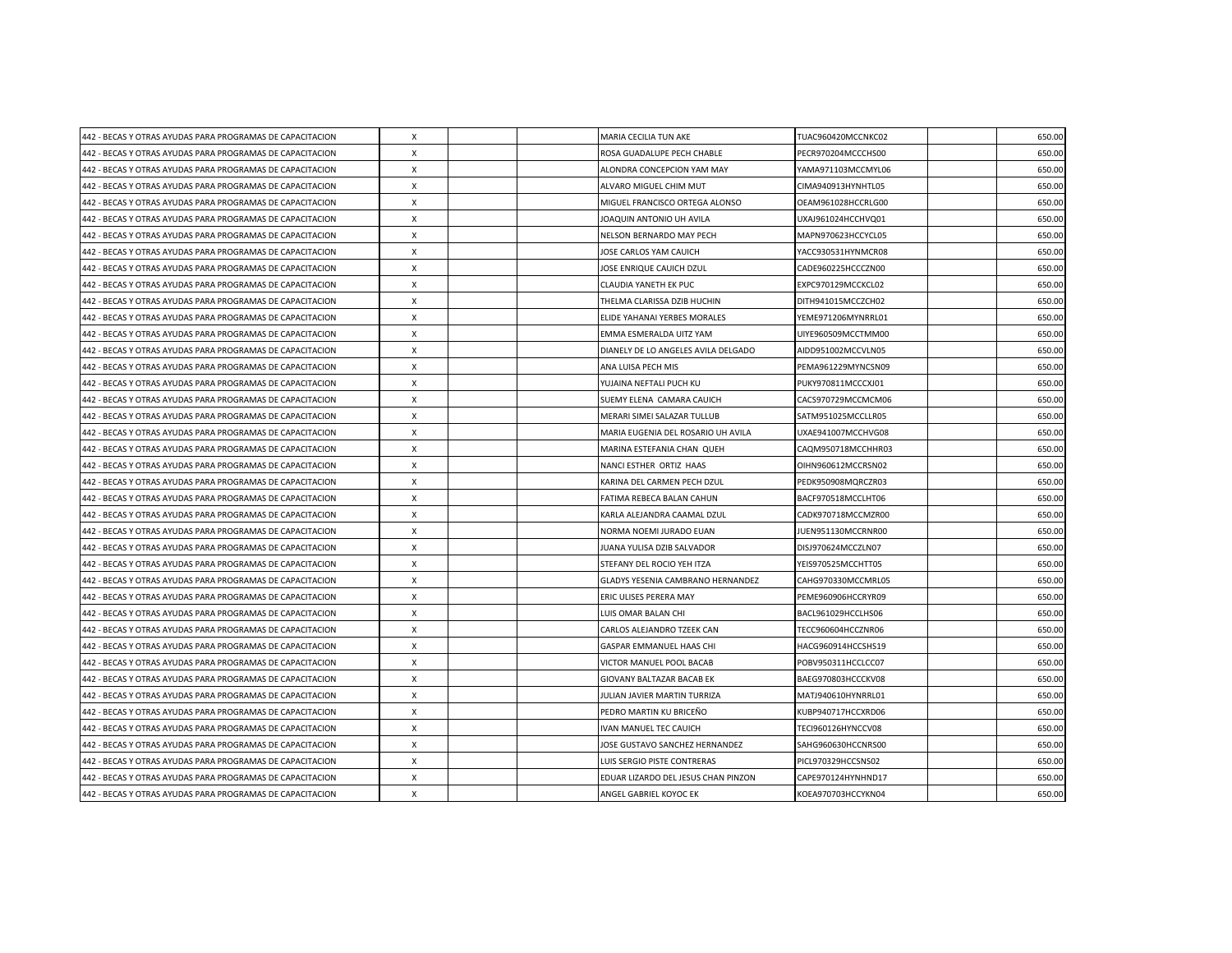| 442 - BECAS Y OTRAS AYUDAS PARA PROGRAMAS DE CAPACITACION | X                         |  | MARIA CECILIA TUN AKE               | TUAC960420MCCNKC02 | 650.00 |
|-----------------------------------------------------------|---------------------------|--|-------------------------------------|--------------------|--------|
| 442 - BECAS Y OTRAS AYUDAS PARA PROGRAMAS DE CAPACITACION | X                         |  | ROSA GUADALUPE PECH CHABLE          | PECR970204MCCCHS00 | 650.00 |
| 442 - BECAS Y OTRAS AYUDAS PARA PROGRAMAS DE CAPACITACION | $\boldsymbol{\mathsf{X}}$ |  | ALONDRA CONCEPCION YAM MAY          | YAMA971103MCCMYL06 | 650.00 |
| 442 - BECAS Y OTRAS AYUDAS PARA PROGRAMAS DE CAPACITACION | $\boldsymbol{\mathsf{X}}$ |  | ALVARO MIGUEL CHIM MUT              | CIMA940913HYNHTL05 | 650.00 |
| 442 - BECAS Y OTRAS AYUDAS PARA PROGRAMAS DE CAPACITACION | X                         |  | MIGUEL FRANCISCO ORTEGA ALONSO      | OEAM961028HCCRLG00 | 650.00 |
| 442 - BECAS Y OTRAS AYUDAS PARA PROGRAMAS DE CAPACITACION | $\boldsymbol{\mathsf{X}}$ |  | JOAQUIN ANTONIO UH AVILA            | UXAJ961024HCCHVQ01 | 650.00 |
| 442 - BECAS Y OTRAS AYUDAS PARA PROGRAMAS DE CAPACITACION | X                         |  | NELSON BERNARDO MAY PECH            | MAPN970623HCCYCL05 | 650.00 |
| 442 - BECAS Y OTRAS AYUDAS PARA PROGRAMAS DE CAPACITACION | X                         |  | JOSE CARLOS YAM CAUICH              | YACC930531HYNMCR08 | 650.00 |
| 442 - BECAS Y OTRAS AYUDAS PARA PROGRAMAS DE CAPACITACION | $\boldsymbol{\mathsf{X}}$ |  | JOSE ENRIQUE CAUICH DZUL            | CADE960225HCCCZN00 | 650.00 |
| 442 - BECAS Y OTRAS AYUDAS PARA PROGRAMAS DE CAPACITACION | $\boldsymbol{\mathsf{X}}$ |  | CLAUDIA YANETH EK PUC               | EXPC970129MCCKCL02 | 650.00 |
| 442 - BECAS Y OTRAS AYUDAS PARA PROGRAMAS DE CAPACITACION | $\mathsf{x}$              |  | THELMA CLARISSA DZIB HUCHIN         | DITH941015MCCZCH02 | 650.00 |
| 442 - BECAS Y OTRAS AYUDAS PARA PROGRAMAS DE CAPACITACION | $\boldsymbol{\mathsf{X}}$ |  | ELIDE YAHANAI YERBES MORALES        | YEME971206MYNRRL01 | 650.00 |
| 442 - BECAS Y OTRAS AYUDAS PARA PROGRAMAS DE CAPACITACION | X                         |  | EMMA ESMERALDA UITZ YAM             | UIYE960509MCCTMM00 | 650.00 |
| 442 - BECAS Y OTRAS AYUDAS PARA PROGRAMAS DE CAPACITACION | X                         |  | DIANELY DE LO ANGELES AVILA DELGADO | AIDD951002MCCVLN05 | 650.00 |
| 442 - BECAS Y OTRAS AYUDAS PARA PROGRAMAS DE CAPACITACION | $\times$                  |  | ANA LUISA PECH MIS                  | PEMA961229MYNCSN09 | 650.00 |
| 442 - BECAS Y OTRAS AYUDAS PARA PROGRAMAS DE CAPACITACION | X                         |  | YUJAINA NEFTALI PUCH KU             | PUKY970811MCCCXJ01 | 650.00 |
| 442 - BECAS Y OTRAS AYUDAS PARA PROGRAMAS DE CAPACITACION | $\boldsymbol{\mathsf{X}}$ |  | SUEMY ELENA CAMARA CAUICH           | CACS970729MCCMCM06 | 650.00 |
| 442 - BECAS Y OTRAS AYUDAS PARA PROGRAMAS DE CAPACITACION | $\times$                  |  | MERARI SIMEI SALAZAR TULLUB         | SATM951025MCCLLR05 | 650.00 |
| 442 - BECAS Y OTRAS AYUDAS PARA PROGRAMAS DE CAPACITACION | X                         |  | MARIA EUGENIA DEL ROSARIO UH AVILA  | UXAE941007MCCHVG08 | 650.00 |
| 442 - BECAS Y OTRAS AYUDAS PARA PROGRAMAS DE CAPACITACION | X                         |  | MARINA ESTEFANIA CHAN QUEH          | CAQM950718MCCHHR03 | 650.00 |
| 442 - BECAS Y OTRAS AYUDAS PARA PROGRAMAS DE CAPACITACION | X                         |  | NANCI ESTHER ORTIZ HAAS             | OIHN960612MCCRSN02 | 650.00 |
| 442 - BECAS Y OTRAS AYUDAS PARA PROGRAMAS DE CAPACITACION | X                         |  | KARINA DEL CARMEN PECH DZUL         | PEDK950908MQRCZR03 | 650.00 |
| 442 - BECAS Y OTRAS AYUDAS PARA PROGRAMAS DE CAPACITACION | X                         |  | FATIMA REBECA BALAN CAHUN           | BACF970518MCCLHT06 | 650.00 |
| 442 - BECAS Y OTRAS AYUDAS PARA PROGRAMAS DE CAPACITACION | $\times$                  |  | KARLA ALEJANDRA CAAMAL DZUL         | CADK970718MCCMZR00 | 650.00 |
| 442 - BECAS Y OTRAS AYUDAS PARA PROGRAMAS DE CAPACITACION | X                         |  | NORMA NOEMI JURADO EUAN             | JUEN951130MCCRNR00 | 650.00 |
| 442 - BECAS Y OTRAS AYUDAS PARA PROGRAMAS DE CAPACITACION | $\times$                  |  | JUANA YULISA DZIB SALVADOR          | DISJ970624MCCZLN07 | 650.00 |
| 442 - BECAS Y OTRAS AYUDAS PARA PROGRAMAS DE CAPACITACION | $\boldsymbol{\mathsf{X}}$ |  | STEFANY DEL ROCIO YEH ITZA          | YEIS970525MCCHTT05 | 650.00 |
| 442 - BECAS Y OTRAS AYUDAS PARA PROGRAMAS DE CAPACITACION | $\times$                  |  | GLADYS YESENIA CAMBRANO HERNANDEZ   | CAHG970330MCCMRL05 | 650.00 |
| 442 - BECAS Y OTRAS AYUDAS PARA PROGRAMAS DE CAPACITACION | $\times$                  |  | ERIC ULISES PERERA MAY              | PEME960906HCCRYR09 | 650.00 |
| 442 - BECAS Y OTRAS AYUDAS PARA PROGRAMAS DE CAPACITACION | X                         |  | LUIS OMAR BALAN CHI                 | BACL961029HCCLHS06 | 650.00 |
| 442 - BECAS Y OTRAS AYUDAS PARA PROGRAMAS DE CAPACITACION | $\times$                  |  | CARLOS ALEJANDRO TZEEK CAN          | TECC960604HCCZNR06 | 650.00 |
| 442 - BECAS Y OTRAS AYUDAS PARA PROGRAMAS DE CAPACITACION | X                         |  | GASPAR EMMANUEL HAAS CHI            | HACG960914HCCSHS19 | 650.00 |
| 442 - BECAS Y OTRAS AYUDAS PARA PROGRAMAS DE CAPACITACION | X                         |  | VICTOR MANUEL POOL BACAB            | POBV950311HCCLCC07 | 650.00 |
| 442 - BECAS Y OTRAS AYUDAS PARA PROGRAMAS DE CAPACITACION | X                         |  | GIOVANY BALTAZAR BACAB EK           | BAEG970803HCCCKV08 | 650.00 |
| 442 - BECAS Y OTRAS AYUDAS PARA PROGRAMAS DE CAPACITACION | X                         |  | JULIAN JAVIER MARTIN TURRIZA        | MATJ940610HYNRRL01 | 650.00 |
| 442 - BECAS Y OTRAS AYUDAS PARA PROGRAMAS DE CAPACITACION | X                         |  | PEDRO MARTIN KU BRICEÑO             | KUBP940717HCCXRD06 | 650.00 |
| 442 - BECAS Y OTRAS AYUDAS PARA PROGRAMAS DE CAPACITACION | X                         |  | <b>IVAN MANUEL TEC CAUICH</b>       | TECI960126HYNCCV08 | 650.00 |
| 442 - BECAS Y OTRAS AYUDAS PARA PROGRAMAS DE CAPACITACION | $\boldsymbol{\mathsf{X}}$ |  | JOSE GUSTAVO SANCHEZ HERNANDEZ      | SAHG960630HCCNRS00 | 650.00 |
| 442 - BECAS Y OTRAS AYUDAS PARA PROGRAMAS DE CAPACITACION | X                         |  | LUIS SERGIO PISTE CONTRERAS         | PICL970329HCCSNS02 | 650.00 |
| 442 - BECAS Y OTRAS AYUDAS PARA PROGRAMAS DE CAPACITACION | X                         |  | EDUAR LIZARDO DEL JESUS CHAN PINZON | CAPE970124HYNHND17 | 650.00 |
| 442 - BECAS Y OTRAS AYUDAS PARA PROGRAMAS DE CAPACITACION | $\pmb{\times}$            |  | ANGEL GABRIEL KOYOC EK              | KOEA970703HCCYKN04 | 650.00 |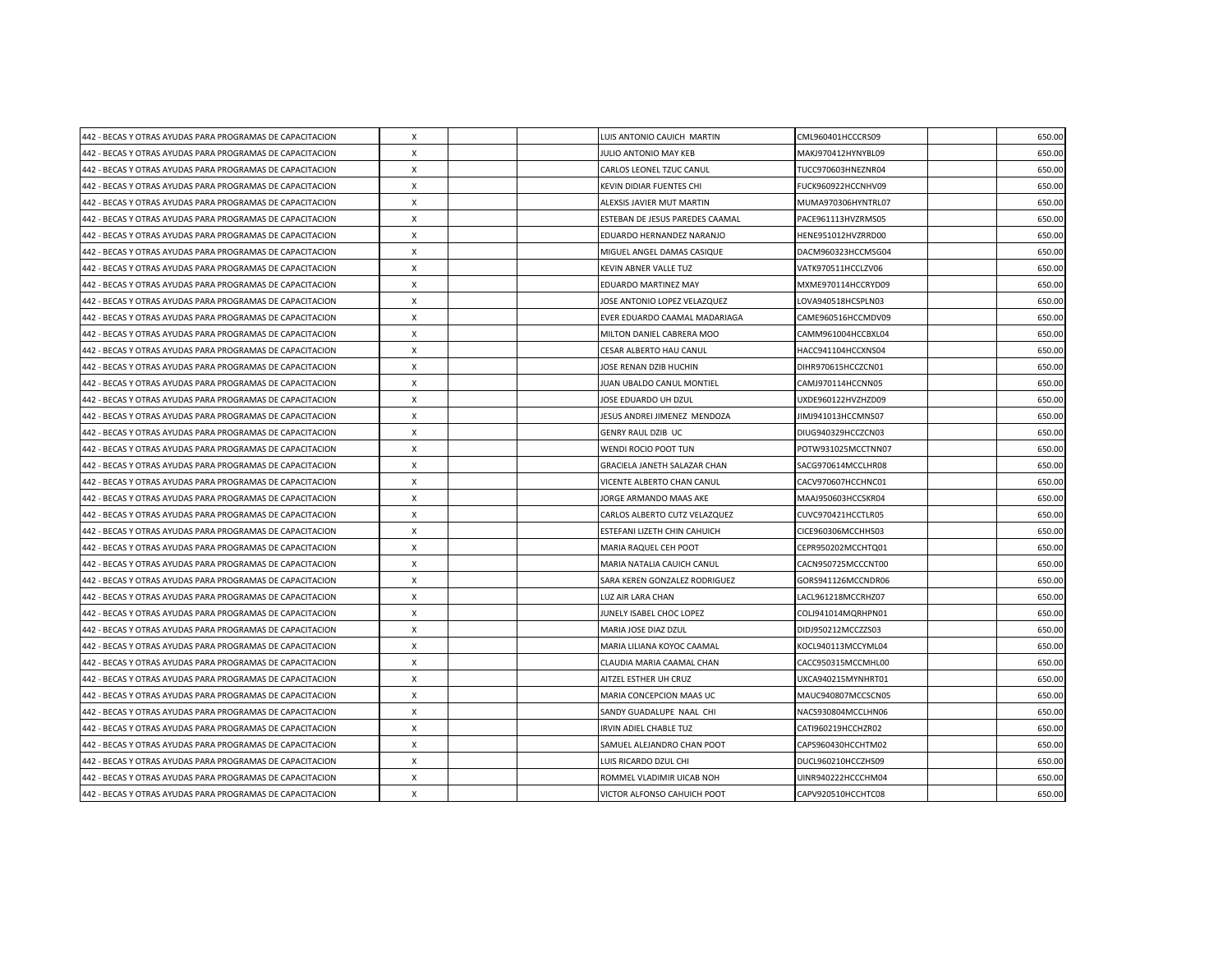| 442 - BECAS Y OTRAS AYUDAS PARA PROGRAMAS DE CAPACITACION | X                         |  | LUIS ANTONIO CAUICH MARTIN      | CML960401HCCCRS09  | 650.00 |
|-----------------------------------------------------------|---------------------------|--|---------------------------------|--------------------|--------|
| 442 - BECAS Y OTRAS AYUDAS PARA PROGRAMAS DE CAPACITACION | X                         |  | JULIO ANTONIO MAY KEB           | MAKJ970412HYNYBL09 | 650.00 |
| 442 - BECAS Y OTRAS AYUDAS PARA PROGRAMAS DE CAPACITACION | $\boldsymbol{\mathsf{X}}$ |  | CARLOS LEONEL TZUC CANUL        | TUCC970603HNEZNR04 | 650.00 |
| 442 - BECAS Y OTRAS AYUDAS PARA PROGRAMAS DE CAPACITACION | $\boldsymbol{\mathsf{X}}$ |  | KEVIN DIDIAR FUENTES CHI        | FUCK960922HCCNHV09 | 650.00 |
| 442 - BECAS Y OTRAS AYUDAS PARA PROGRAMAS DE CAPACITACION | X                         |  | ALEXSIS JAVIER MUT MARTIN       | MUMA970306HYNTRL07 | 650.00 |
| 442 - BECAS Y OTRAS AYUDAS PARA PROGRAMAS DE CAPACITACION | $\boldsymbol{\mathsf{X}}$ |  | ESTEBAN DE JESUS PAREDES CAAMAL | PACE961113HVZRMS05 | 650.00 |
| 442 - BECAS Y OTRAS AYUDAS PARA PROGRAMAS DE CAPACITACION | X                         |  | EDUARDO HERNANDEZ NARANJO       | HENE951012HVZRRD00 | 650.00 |
| 442 - BECAS Y OTRAS AYUDAS PARA PROGRAMAS DE CAPACITACION | X                         |  | MIGUEL ANGEL DAMAS CASIQUE      | DACM960323HCCMSG04 | 650.00 |
| 442 - BECAS Y OTRAS AYUDAS PARA PROGRAMAS DE CAPACITACION | $\boldsymbol{\mathsf{X}}$ |  | KEVIN ABNER VALLE TUZ           | VATK970511HCCLZV06 | 650.00 |
| 442 - BECAS Y OTRAS AYUDAS PARA PROGRAMAS DE CAPACITACION | $\boldsymbol{\mathsf{X}}$ |  | EDUARDO MARTINEZ MAY            | MXME970114HCCRYD09 | 650.00 |
| 442 - BECAS Y OTRAS AYUDAS PARA PROGRAMAS DE CAPACITACION | $\mathsf{x}$              |  | JOSE ANTONIO LOPEZ VELAZQUEZ    | LOVA940518HCSPLN03 | 650.00 |
| 442 - BECAS Y OTRAS AYUDAS PARA PROGRAMAS DE CAPACITACION | $\boldsymbol{\mathsf{X}}$ |  | EVER EDUARDO CAAMAL MADARIAGA   | CAME960516HCCMDV09 | 650.00 |
| 442 - BECAS Y OTRAS AYUDAS PARA PROGRAMAS DE CAPACITACION | X                         |  | MILTON DANIEL CABRERA MOO       | CAMM961004HCCBXL04 | 650.00 |
| 442 - BECAS Y OTRAS AYUDAS PARA PROGRAMAS DE CAPACITACION | X                         |  | CESAR ALBERTO HAU CANUL         | HACC941104HCCXNS04 | 650.00 |
| 442 - BECAS Y OTRAS AYUDAS PARA PROGRAMAS DE CAPACITACION | $\times$                  |  | JOSE RENAN DZIB HUCHIN          | DIHR970615HCCZCN01 | 650.00 |
| 442 - BECAS Y OTRAS AYUDAS PARA PROGRAMAS DE CAPACITACION | X                         |  | JUAN UBALDO CANUL MONTIEL       | CAMJ970114HCCNN05  | 650.00 |
| 442 - BECAS Y OTRAS AYUDAS PARA PROGRAMAS DE CAPACITACION | $\boldsymbol{\mathsf{X}}$ |  | JOSE EDUARDO UH DZUL            | UXDE960122HVZHZD09 | 650.00 |
| 442 - BECAS Y OTRAS AYUDAS PARA PROGRAMAS DE CAPACITACION | $\times$                  |  | JESUS ANDREI JIMENEZ MENDOZA    | JIMJ941013HCCMNS07 | 650.00 |
| 442 - BECAS Y OTRAS AYUDAS PARA PROGRAMAS DE CAPACITACION | X                         |  | GENRY RAUL DZIB UC              | DIUG940329HCCZCN03 | 650.00 |
| 442 - BECAS Y OTRAS AYUDAS PARA PROGRAMAS DE CAPACITACION | X                         |  | WENDI ROCIO POOT TUN            | POTW931025MCCTNN07 | 650.00 |
| 442 - BECAS Y OTRAS AYUDAS PARA PROGRAMAS DE CAPACITACION | X                         |  | GRACIELA JANETH SALAZAR CHAN    | SACG970614MCCLHR08 | 650.00 |
| 442 - BECAS Y OTRAS AYUDAS PARA PROGRAMAS DE CAPACITACION | X                         |  | VICENTE ALBERTO CHAN CANUL      | CACV970607HCCHNC01 | 650.00 |
| 442 - BECAS Y OTRAS AYUDAS PARA PROGRAMAS DE CAPACITACION | X                         |  | JORGE ARMANDO MAAS AKE          | MAAJ950603HCCSKR04 | 650.00 |
| 442 - BECAS Y OTRAS AYUDAS PARA PROGRAMAS DE CAPACITACION | $\times$                  |  | CARLOS ALBERTO CUTZ VELAZQUEZ   | CUVC970421HCCTLR05 | 650.00 |
| 442 - BECAS Y OTRAS AYUDAS PARA PROGRAMAS DE CAPACITACION | X                         |  | ESTEFANI LIZETH CHIN CAHUICH    | CICE960306MCCHHS03 | 650.00 |
| 442 - BECAS Y OTRAS AYUDAS PARA PROGRAMAS DE CAPACITACION | $\times$                  |  | <b>MARIA RAQUEL CEH POOT</b>    | CEPR950202MCCHTQ01 | 650.00 |
| 442 - BECAS Y OTRAS AYUDAS PARA PROGRAMAS DE CAPACITACION | $\boldsymbol{\mathsf{X}}$ |  | MARIA NATALIA CAUICH CANUL      | CACN950725MCCCNT00 | 650.00 |
| 442 - BECAS Y OTRAS AYUDAS PARA PROGRAMAS DE CAPACITACION | $\times$                  |  | SARA KEREN GONZALEZ RODRIGUEZ   | GORS941126MCCNDR06 | 650.00 |
| 442 - BECAS Y OTRAS AYUDAS PARA PROGRAMAS DE CAPACITACION | $\times$                  |  | <b>LUZ AIR LARA CHAN</b>        | LACL961218MCCRHZ07 | 650.00 |
| 442 - BECAS Y OTRAS AYUDAS PARA PROGRAMAS DE CAPACITACION | X                         |  | JUNELY ISABEL CHOC LOPEZ        | COLJ941014MQRHPN01 | 650.00 |
| 442 - BECAS Y OTRAS AYUDAS PARA PROGRAMAS DE CAPACITACION | $\times$                  |  | MARIA JOSE DIAZ DZUL            | DIDJ950212MCCZZS03 | 650.00 |
| 442 - BECAS Y OTRAS AYUDAS PARA PROGRAMAS DE CAPACITACION | X                         |  | MARIA LILIANA KOYOC CAAMAL      | KOCL940113MCCYML04 | 650.00 |
| 442 - BECAS Y OTRAS AYUDAS PARA PROGRAMAS DE CAPACITACION | X                         |  | CLAUDIA MARIA CAAMAL CHAN       | CACC950315MCCMHL00 | 650.00 |
| 442 - BECAS Y OTRAS AYUDAS PARA PROGRAMAS DE CAPACITACION | X                         |  | AITZEL ESTHER UH CRUZ           | UXCA940215MYNHRT01 | 650.00 |
| 442 - BECAS Y OTRAS AYUDAS PARA PROGRAMAS DE CAPACITACION | X                         |  | MARIA CONCEPCION MAAS UC        | MAUC940807MCCSCN05 | 650.00 |
| 442 - BECAS Y OTRAS AYUDAS PARA PROGRAMAS DE CAPACITACION | X                         |  | SANDY GUADALUPE NAAL CHI        | NACS930804MCCLHN06 | 650.00 |
| 442 - BECAS Y OTRAS AYUDAS PARA PROGRAMAS DE CAPACITACION | X                         |  | IRVIN ADIEL CHABLE TUZ          | CATI960219HCCHZR02 | 650.00 |
| 442 - BECAS Y OTRAS AYUDAS PARA PROGRAMAS DE CAPACITACION | $\boldsymbol{\mathsf{X}}$ |  | SAMUEL ALEJANDRO CHAN POOT      | CAPS960430HCCHTM02 | 650.00 |
| 442 - BECAS Y OTRAS AYUDAS PARA PROGRAMAS DE CAPACITACION | X                         |  | LUIS RICARDO DZUL CHI           | DUCL960210HCCZHS09 | 650.00 |
| 442 - BECAS Y OTRAS AYUDAS PARA PROGRAMAS DE CAPACITACION | X                         |  | ROMMEL VLADIMIR UICAB NOH       | UINR940222HCCCHM04 | 650.00 |
| 442 - BECAS Y OTRAS AYUDAS PARA PROGRAMAS DE CAPACITACION | $\pmb{\times}$            |  | VICTOR ALFONSO CAHUICH POOT     | CAPV920510HCCHTC08 | 650.00 |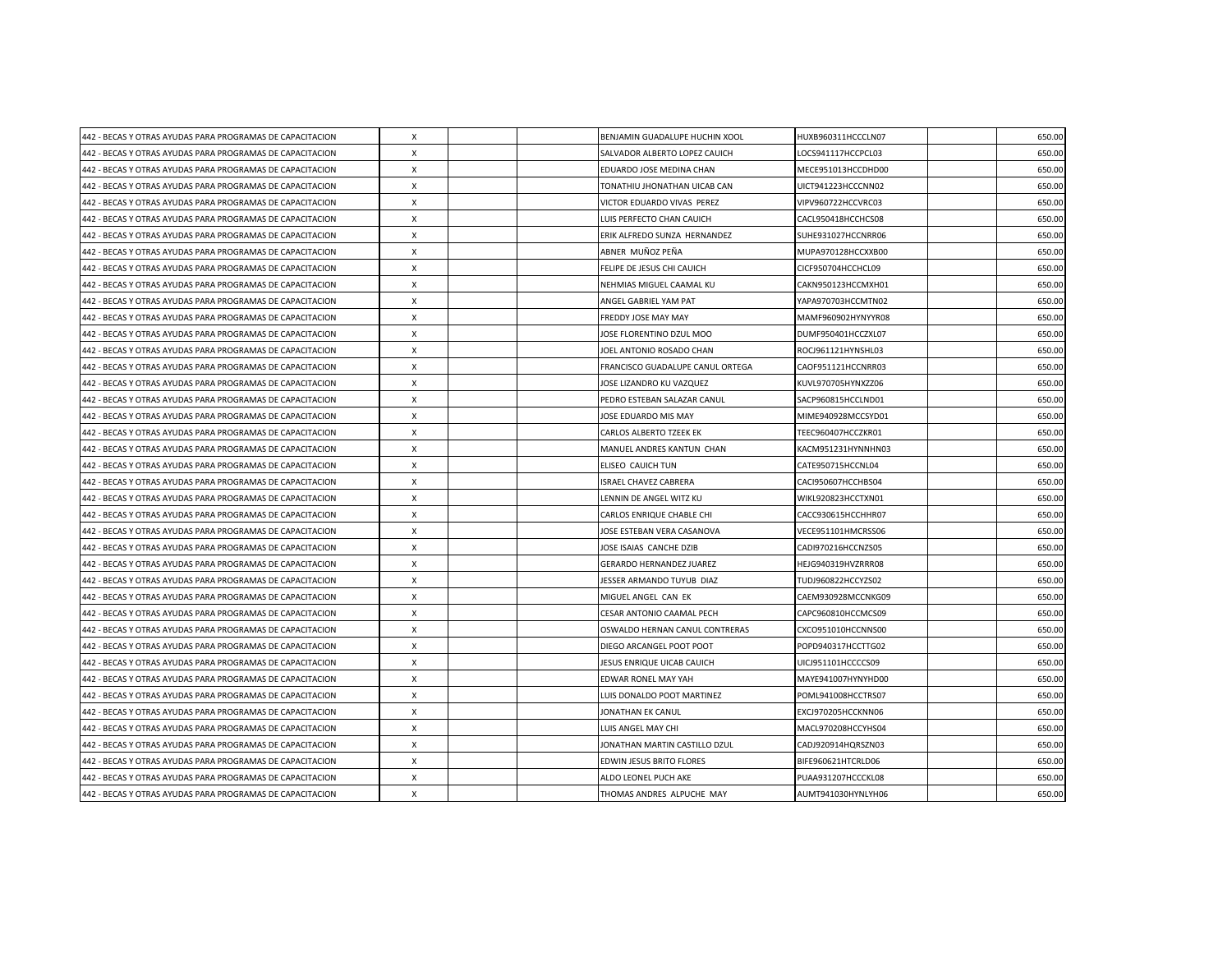| 442 - BECAS Y OTRAS AYUDAS PARA PROGRAMAS DE CAPACITACION | X                         |  | BENJAMIN GUADALUPE HUCHIN XOOL   | HUXB960311HCCCLN07 | 650.00 |
|-----------------------------------------------------------|---------------------------|--|----------------------------------|--------------------|--------|
| 442 - BECAS Y OTRAS AYUDAS PARA PROGRAMAS DE CAPACITACION | X                         |  | SALVADOR ALBERTO LOPEZ CAUICH    | LOCS941117HCCPCL03 | 650.00 |
| 442 - BECAS Y OTRAS AYUDAS PARA PROGRAMAS DE CAPACITACION | X                         |  | EDUARDO JOSE MEDINA CHAN         | MECE951013HCCDHD00 | 650.00 |
| 442 - BECAS Y OTRAS AYUDAS PARA PROGRAMAS DE CAPACITACION | $\boldsymbol{\mathsf{X}}$ |  | TONATHIU JHONATHAN UICAB CAN     | UICT941223HCCCNN02 | 650.00 |
| 442 - BECAS Y OTRAS AYUDAS PARA PROGRAMAS DE CAPACITACION | X                         |  | VICTOR EDUARDO VIVAS PEREZ       | VIPV960722HCCVRC03 | 650.00 |
| 442 - BECAS Y OTRAS AYUDAS PARA PROGRAMAS DE CAPACITACION | X                         |  | LUIS PERFECTO CHAN CAUICH        | CACL950418HCCHCS08 | 650.00 |
| 442 - BECAS Y OTRAS AYUDAS PARA PROGRAMAS DE CAPACITACION | $\boldsymbol{\mathsf{X}}$ |  | ERIK ALFREDO SUNZA HERNANDEZ     | SUHE931027HCCNRR06 | 650.00 |
| 442 - BECAS Y OTRAS AYUDAS PARA PROGRAMAS DE CAPACITACION | Х                         |  | ABNER MUÑOZ PEÑA                 | MUPA970128HCCXXB00 | 650.00 |
| 442 - BECAS Y OTRAS AYUDAS PARA PROGRAMAS DE CAPACITACION | $\boldsymbol{\mathsf{X}}$ |  | FELIPE DE JESUS CHI CAUICH       | CICF950704HCCHCL09 | 650.00 |
| 442 - BECAS Y OTRAS AYUDAS PARA PROGRAMAS DE CAPACITACION | $\boldsymbol{\mathsf{X}}$ |  | NEHMIAS MIGUEL CAAMAL KU         | CAKN950123HCCMXH01 | 650.00 |
| 442 - BECAS Y OTRAS AYUDAS PARA PROGRAMAS DE CAPACITACION | X                         |  | ANGEL GABRIEL YAM PAT            | YAPA970703HCCMTN02 | 650.00 |
| 442 - BECAS Y OTRAS AYUDAS PARA PROGRAMAS DE CAPACITACION | $\times$                  |  | FREDDY JOSE MAY MAY              | MAMF960902HYNYYR08 | 650.00 |
| 442 - BECAS Y OTRAS AYUDAS PARA PROGRAMAS DE CAPACITACION | X                         |  | JOSE FLORENTINO DZUL MOO         | DUMF950401HCCZXL07 | 650.00 |
| 442 - BECAS Y OTRAS AYUDAS PARA PROGRAMAS DE CAPACITACION | $\boldsymbol{\mathsf{X}}$ |  | JOEL ANTONIO ROSADO CHAN         | ROCJ961121HYNSHL03 | 650.00 |
| 442 - BECAS Y OTRAS AYUDAS PARA PROGRAMAS DE CAPACITACION | $\boldsymbol{\mathsf{X}}$ |  | FRANCISCO GUADALUPE CANUL ORTEGA | CAOF951121HCCNRR03 | 650.00 |
| 442 - BECAS Y OTRAS AYUDAS PARA PROGRAMAS DE CAPACITACION | X                         |  | JOSE LIZANDRO KU VAZQUEZ         | KUVL970705HYNXZZ06 | 650.00 |
| 442 - BECAS Y OTRAS AYUDAS PARA PROGRAMAS DE CAPACITACION | $\boldsymbol{\mathsf{X}}$ |  | PEDRO ESTEBAN SALAZAR CANUL      | SACP960815HCCLND01 | 650.00 |
| 442 - BECAS Y OTRAS AYUDAS PARA PROGRAMAS DE CAPACITACION | X                         |  | JOSE EDUARDO MIS MAY             | MIME940928MCCSYD01 | 650.00 |
| 442 - BECAS Y OTRAS AYUDAS PARA PROGRAMAS DE CAPACITACION | X                         |  | <b>CARLOS ALBERTO TZEEK EK</b>   | TEEC960407HCCZKR01 | 650.00 |
| 442 - BECAS Y OTRAS AYUDAS PARA PROGRAMAS DE CAPACITACION | $\boldsymbol{\mathsf{X}}$ |  | MANUEL ANDRES KANTUN CHAN        | KACM951231HYNNHN03 | 650.00 |
| 442 - BECAS Y OTRAS AYUDAS PARA PROGRAMAS DE CAPACITACION | $\boldsymbol{\mathsf{X}}$ |  | ELISEO CAUICH TUN                | CATE950715HCCNL04  | 650.00 |
| 442 - BECAS Y OTRAS AYUDAS PARA PROGRAMAS DE CAPACITACION | X                         |  | <b>ISRAEL CHAVEZ CABRERA</b>     | CACI950607HCCHBS04 | 650.00 |
| 442 - BECAS Y OTRAS AYUDAS PARA PROGRAMAS DE CAPACITACION | X                         |  | LENNIN DE ANGEL WITZ KU          | WIKL920823HCCTXN01 | 650.00 |
| 442 - BECAS Y OTRAS AYUDAS PARA PROGRAMAS DE CAPACITACION | X                         |  | CARLOS ENRIQUE CHABLE CHI        | CACC930615HCCHHR07 | 650.00 |
| 442 - BECAS Y OTRAS AYUDAS PARA PROGRAMAS DE CAPACITACION | X                         |  | JOSE ESTEBAN VERA CASANOVA       | VECE951101HMCRSS06 | 650.00 |
| 442 - BECAS Y OTRAS AYUDAS PARA PROGRAMAS DE CAPACITACION | $\times$                  |  | JOSE ISAIAS CANCHE DZIB          | CADI970216HCCNZS05 | 650.00 |
| 442 - BECAS Y OTRAS AYUDAS PARA PROGRAMAS DE CAPACITACION | $\boldsymbol{\mathsf{X}}$ |  | <b>GERARDO HERNANDEZ JUAREZ</b>  | HEJG940319HVZRRR08 | 650.00 |
| 442 - BECAS Y OTRAS AYUDAS PARA PROGRAMAS DE CAPACITACION | X                         |  | JESSER ARMANDO TUYUB DIAZ        | TUDJ960822HCCYZS02 | 650.00 |
| 442 - BECAS Y OTRAS AYUDAS PARA PROGRAMAS DE CAPACITACION | $\times$                  |  | MIGUEL ANGEL CAN EK              | CAEM930928MCCNKG09 | 650.00 |
| 442 - BECAS Y OTRAS AYUDAS PARA PROGRAMAS DE CAPACITACION | X                         |  | CESAR ANTONIO CAAMAL PECH        | CAPC960810HCCMCS09 | 650.00 |
| 442 - BECAS Y OTRAS AYUDAS PARA PROGRAMAS DE CAPACITACION | $\boldsymbol{\mathsf{X}}$ |  | OSWALDO HERNAN CANUL CONTRERAS   | CXCO951010HCCNNS00 | 650.00 |
| 442 - BECAS Y OTRAS AYUDAS PARA PROGRAMAS DE CAPACITACION | $\boldsymbol{\mathsf{X}}$ |  | DIEGO ARCANGEL POOT POOT         | POPD940317HCCTTG02 | 650.00 |
| 442 - BECAS Y OTRAS AYUDAS PARA PROGRAMAS DE CAPACITACION | $\times$                  |  | JESUS ENRIQUE UICAB CAUICH       | UICJ951101HCCCCS09 | 650.00 |
| 442 - BECAS Y OTRAS AYUDAS PARA PROGRAMAS DE CAPACITACION | $\boldsymbol{\mathsf{X}}$ |  | EDWAR RONEL MAY YAH              | MAYE941007HYNYHD00 | 650.00 |
| 442 - BECAS Y OTRAS AYUDAS PARA PROGRAMAS DE CAPACITACION | X                         |  | LUIS DONALDO POOT MARTINEZ       | POML941008HCCTRS07 | 650.00 |
| 442 - BECAS Y OTRAS AYUDAS PARA PROGRAMAS DE CAPACITACION | X                         |  | JONATHAN EK CANUL                | EXCJ970205HCCKNN06 | 650.00 |
| 442 - BECAS Y OTRAS AYUDAS PARA PROGRAMAS DE CAPACITACION | X                         |  | LUIS ANGEL MAY CHI               | MACL970208HCCYHS04 | 650.00 |
| 442 - BECAS Y OTRAS AYUDAS PARA PROGRAMAS DE CAPACITACION | $\boldsymbol{\mathsf{X}}$ |  | JONATHAN MARTIN CASTILLO DZUL    | CADJ920914HQRSZN03 | 650.00 |
| 442 - BECAS Y OTRAS AYUDAS PARA PROGRAMAS DE CAPACITACION | $\boldsymbol{\mathsf{X}}$ |  | EDWIN JESUS BRITO FLORES         | BIFE960621HTCRLD06 | 650.00 |
| 442 - BECAS Y OTRAS AYUDAS PARA PROGRAMAS DE CAPACITACION | X                         |  | ALDO LEONEL PUCH AKE             | PUAA931207HCCCKL08 | 650.00 |
| 442 - BECAS Y OTRAS AYUDAS PARA PROGRAMAS DE CAPACITACION | $\pmb{\times}$            |  | THOMAS ANDRES ALPUCHE MAY        | AUMT941030HYNLYH06 | 650.00 |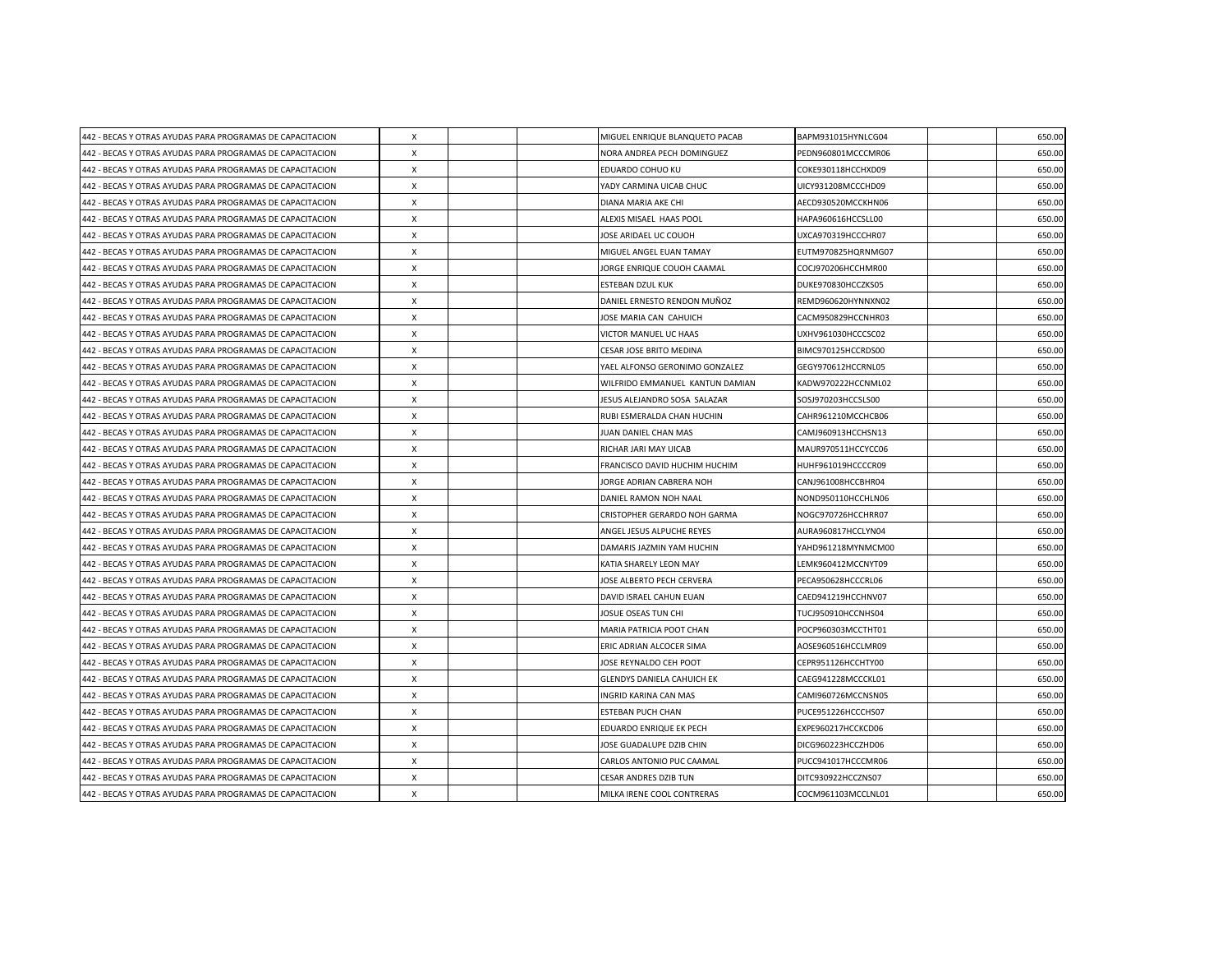| 442 - BECAS Y OTRAS AYUDAS PARA PROGRAMAS DE CAPACITACION | X                         |  | MIGUEL ENRIQUE BLANQUETO PACAB    | BAPM931015HYNLCG04 | 650.00 |
|-----------------------------------------------------------|---------------------------|--|-----------------------------------|--------------------|--------|
| 442 - BECAS Y OTRAS AYUDAS PARA PROGRAMAS DE CAPACITACION | X                         |  | NORA ANDREA PECH DOMINGUEZ        | PEDN960801MCCCMR06 | 650.00 |
| 442 - BECAS Y OTRAS AYUDAS PARA PROGRAMAS DE CAPACITACION | X                         |  | EDUARDO COHUO KU                  | COKE930118HCCHXD09 | 650.00 |
| 442 - BECAS Y OTRAS AYUDAS PARA PROGRAMAS DE CAPACITACION | $\boldsymbol{\mathsf{X}}$ |  | YADY CARMINA UICAB CHUC           | UICY931208MCCCHD09 | 650.00 |
| 442 - BECAS Y OTRAS AYUDAS PARA PROGRAMAS DE CAPACITACION | X                         |  | DIANA MARIA AKE CHI               | AECD930520MCCKHN06 | 650.00 |
| 442 - BECAS Y OTRAS AYUDAS PARA PROGRAMAS DE CAPACITACION | X                         |  | ALEXIS MISAEL HAAS POOL           | HAPA960616HCCSLL00 | 650.00 |
| 442 - BECAS Y OTRAS AYUDAS PARA PROGRAMAS DE CAPACITACION | $\boldsymbol{\mathsf{X}}$ |  | JOSE ARIDAEL UC COUOH             | UXCA970319HCCCHR07 | 650.00 |
| 442 - BECAS Y OTRAS AYUDAS PARA PROGRAMAS DE CAPACITACION | Х                         |  | MIGUEL ANGEL EUAN TAMAY           | EUTM970825HQRNMG07 | 650.00 |
| 442 - BECAS Y OTRAS AYUDAS PARA PROGRAMAS DE CAPACITACION | $\boldsymbol{\mathsf{X}}$ |  | JORGE ENRIQUE COUOH CAAMAL        | COCJ970206HCCHMR00 | 650.00 |
| 442 - BECAS Y OTRAS AYUDAS PARA PROGRAMAS DE CAPACITACION | $\boldsymbol{\mathsf{X}}$ |  | ESTEBAN DZUL KUK                  | DUKE970830HCCZKS05 | 650.00 |
| 442 - BECAS Y OTRAS AYUDAS PARA PROGRAMAS DE CAPACITACION | X                         |  | DANIEL ERNESTO RENDON MUÑOZ       | REMD960620HYNNXN02 | 650.00 |
| 442 - BECAS Y OTRAS AYUDAS PARA PROGRAMAS DE CAPACITACION | $\boldsymbol{\mathsf{X}}$ |  | JOSE MARIA CAN CAHUICH            | CACM950829HCCNHR03 | 650.00 |
| 442 - BECAS Y OTRAS AYUDAS PARA PROGRAMAS DE CAPACITACION | X                         |  | VICTOR MANUEL UC HAAS             | UXHV961030HCCCSC02 | 650.00 |
| 442 - BECAS Y OTRAS AYUDAS PARA PROGRAMAS DE CAPACITACION | $\boldsymbol{\mathsf{X}}$ |  | CESAR JOSE BRITO MEDINA           | BIMC970125HCCRDS00 | 650.00 |
| 442 - BECAS Y OTRAS AYUDAS PARA PROGRAMAS DE CAPACITACION | $\boldsymbol{\mathsf{X}}$ |  | YAEL ALFONSO GERONIMO GONZALEZ    | GEGY970612HCCRNL05 | 650.00 |
| 442 - BECAS Y OTRAS AYUDAS PARA PROGRAMAS DE CAPACITACION | X                         |  | WILFRIDO EMMANUEL KANTUN DAMIAN   | KADW970222HCCNML02 | 650.00 |
| 442 - BECAS Y OTRAS AYUDAS PARA PROGRAMAS DE CAPACITACION | $\boldsymbol{\mathsf{X}}$ |  | JESUS ALEJANDRO SOSA SALAZAR      | SOSJ970203HCCSLS00 | 650.00 |
| 442 - BECAS Y OTRAS AYUDAS PARA PROGRAMAS DE CAPACITACION | X                         |  | RUBI ESMERALDA CHAN HUCHIN        | CAHR961210MCCHCB06 | 650.00 |
| 442 - BECAS Y OTRAS AYUDAS PARA PROGRAMAS DE CAPACITACION | X                         |  | JUAN DANIEL CHAN MAS              | CAMJ960913HCCHSN13 | 650.00 |
| 442 - BECAS Y OTRAS AYUDAS PARA PROGRAMAS DE CAPACITACION | $\boldsymbol{\mathsf{X}}$ |  | RICHAR JARI MAY UICAB             | MAUR970511HCCYCC06 | 650.00 |
| 442 - BECAS Y OTRAS AYUDAS PARA PROGRAMAS DE CAPACITACION | $\boldsymbol{\mathsf{X}}$ |  | FRANCISCO DAVID HUCHIM HUCHIM     | HUHF961019HCCCCR09 | 650.00 |
| 442 - BECAS Y OTRAS AYUDAS PARA PROGRAMAS DE CAPACITACION | X                         |  | JORGE ADRIAN CABRERA NOH          | CANJ961008HCCBHR04 | 650.00 |
| 442 - BECAS Y OTRAS AYUDAS PARA PROGRAMAS DE CAPACITACION | X                         |  | DANIEL RAMON NOH NAAL             | NOND950110HCCHLN06 | 650.00 |
| 442 - BECAS Y OTRAS AYUDAS PARA PROGRAMAS DE CAPACITACION | X                         |  | CRISTOPHER GERARDO NOH GARMA      | NOGC970726HCCHRR07 | 650.00 |
| 442 - BECAS Y OTRAS AYUDAS PARA PROGRAMAS DE CAPACITACION | X                         |  | ANGEL JESUS ALPUCHE REYES         | AURA960817HCCLYN04 | 650.00 |
| 442 - BECAS Y OTRAS AYUDAS PARA PROGRAMAS DE CAPACITACION | $\times$                  |  | DAMARIS JAZMIN YAM HUCHIN         | YAHD961218MYNMCM00 | 650.00 |
| 442 - BECAS Y OTRAS AYUDAS PARA PROGRAMAS DE CAPACITACION | X                         |  | KATIA SHARELY LEON MAY            | LEMK960412MCCNYT09 | 650.00 |
| 442 - BECAS Y OTRAS AYUDAS PARA PROGRAMAS DE CAPACITACION | X                         |  | JOSE ALBERTO PECH CERVERA         | PECA950628HCCCRL06 | 650.00 |
| 442 - BECAS Y OTRAS AYUDAS PARA PROGRAMAS DE CAPACITACION | $\times$                  |  | DAVID ISRAEL CAHUN EUAN           | CAED941219HCCHNV07 | 650.00 |
| 442 - BECAS Y OTRAS AYUDAS PARA PROGRAMAS DE CAPACITACION | X                         |  | JOSUE OSEAS TUN CHI               | TUCJ950910HCCNHS04 | 650.00 |
| 442 - BECAS Y OTRAS AYUDAS PARA PROGRAMAS DE CAPACITACION | $\boldsymbol{\mathsf{X}}$ |  | MARIA PATRICIA POOT CHAN          | POCP960303MCCTHT01 | 650.00 |
| 442 - BECAS Y OTRAS AYUDAS PARA PROGRAMAS DE CAPACITACION | $\boldsymbol{\mathsf{X}}$ |  | ERIC ADRIAN ALCOCER SIMA          | AOSE960516HCCLMR09 | 650.00 |
| 442 - BECAS Y OTRAS AYUDAS PARA PROGRAMAS DE CAPACITACION | $\times$                  |  | JOSE REYNALDO CEH POOT            | CEPR951126HCCHTY00 | 650.00 |
| 442 - BECAS Y OTRAS AYUDAS PARA PROGRAMAS DE CAPACITACION | $\boldsymbol{\mathsf{X}}$ |  | <b>GLENDYS DANIELA CAHUICH EK</b> | CAEG941228MCCCKL01 | 650.00 |
| 442 - BECAS Y OTRAS AYUDAS PARA PROGRAMAS DE CAPACITACION | X                         |  | INGRID KARINA CAN MAS             | CAMI960726MCCNSN05 | 650.00 |
| 442 - BECAS Y OTRAS AYUDAS PARA PROGRAMAS DE CAPACITACION | X                         |  | <b>ESTEBAN PUCH CHAN</b>          | PUCE951226HCCCHS07 | 650.00 |
| 442 - BECAS Y OTRAS AYUDAS PARA PROGRAMAS DE CAPACITACION | X                         |  | EDUARDO ENRIQUE EK PECH           | EXPE960217HCCKCD06 | 650.00 |
| 442 - BECAS Y OTRAS AYUDAS PARA PROGRAMAS DE CAPACITACION | $\boldsymbol{\mathsf{X}}$ |  | JOSE GUADALUPE DZIB CHIN          | DICG960223HCCZHD06 | 650.00 |
| 442 - BECAS Y OTRAS AYUDAS PARA PROGRAMAS DE CAPACITACION | $\boldsymbol{\mathsf{X}}$ |  | CARLOS ANTONIO PUC CAAMAL         | PUCC941017HCCCMR06 | 650.00 |
| 442 - BECAS Y OTRAS AYUDAS PARA PROGRAMAS DE CAPACITACION | X                         |  | CESAR ANDRES DZIB TUN             | DITC930922HCCZNS07 | 650.00 |
| 442 - BECAS Y OTRAS AYUDAS PARA PROGRAMAS DE CAPACITACION | $\pmb{\times}$            |  | MILKA IRENE COOL CONTRERAS        | COCM961103MCCLNL01 | 650.00 |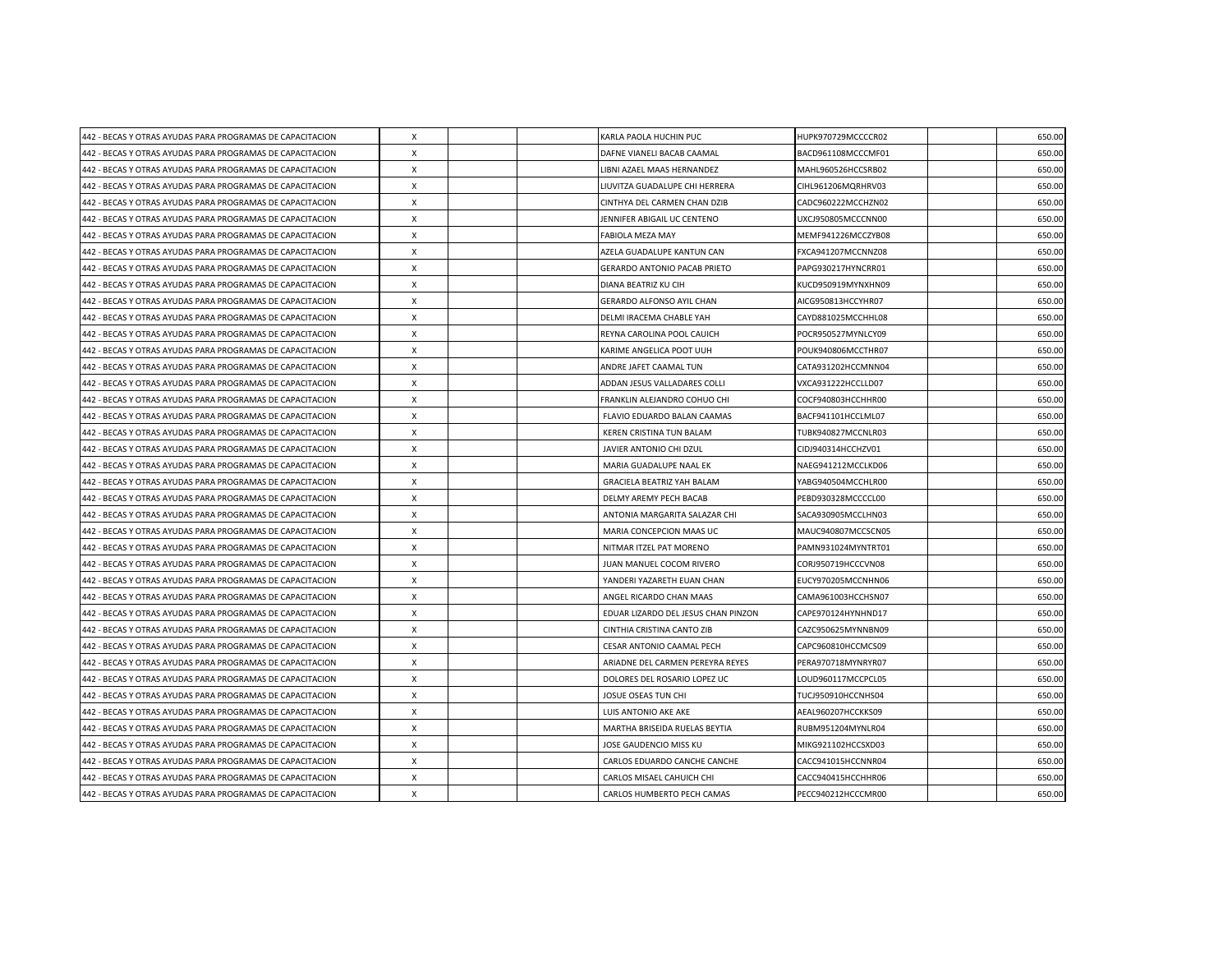| 442 - BECAS Y OTRAS AYUDAS PARA PROGRAMAS DE CAPACITACION | X                         |  | KARLA PAOLA HUCHIN PUC              | HUPK970729MCCCCR02 | 650.00 |
|-----------------------------------------------------------|---------------------------|--|-------------------------------------|--------------------|--------|
| 442 - BECAS Y OTRAS AYUDAS PARA PROGRAMAS DE CAPACITACION | X                         |  | DAFNE VIANELI BACAB CAAMAL          | BACD961108MCCCMF01 | 650.00 |
| 442 - BECAS Y OTRAS AYUDAS PARA PROGRAMAS DE CAPACITACION | $\boldsymbol{\mathsf{X}}$ |  | LIBNI AZAEL MAAS HERNANDEZ          | MAHL960526HCCSRB02 | 650.00 |
| 442 - BECAS Y OTRAS AYUDAS PARA PROGRAMAS DE CAPACITACION | $\boldsymbol{\mathsf{X}}$ |  | LIUVITZA GUADALUPE CHI HERRERA      | CIHL961206MQRHRV03 | 650.00 |
| 442 - BECAS Y OTRAS AYUDAS PARA PROGRAMAS DE CAPACITACION | X                         |  | CINTHYA DEL CARMEN CHAN DZIB        | CADC960222MCCHZN02 | 650.00 |
| 442 - BECAS Y OTRAS AYUDAS PARA PROGRAMAS DE CAPACITACION | $\boldsymbol{\mathsf{X}}$ |  | JENNIFER ABIGAIL UC CENTENO         | UXCJ950805MCCCNN00 | 650.00 |
| 442 - BECAS Y OTRAS AYUDAS PARA PROGRAMAS DE CAPACITACION | X                         |  | FABIOLA MEZA MAY                    | MEMF941226MCCZYB08 | 650.00 |
| 442 - BECAS Y OTRAS AYUDAS PARA PROGRAMAS DE CAPACITACION | X                         |  | AZELA GUADALUPE KANTUN CAN          | FXCA941207MCCNNZ08 | 650.00 |
| 442 - BECAS Y OTRAS AYUDAS PARA PROGRAMAS DE CAPACITACION | $\boldsymbol{\mathsf{X}}$ |  | <b>GERARDO ANTONIO PACAB PRIETO</b> | PAPG930217HYNCRR01 | 650.00 |
| 442 - BECAS Y OTRAS AYUDAS PARA PROGRAMAS DE CAPACITACION | $\boldsymbol{\mathsf{X}}$ |  | DIANA BEATRIZ KU CIH                | KUCD950919MYNXHN09 | 650.00 |
| 442 - BECAS Y OTRAS AYUDAS PARA PROGRAMAS DE CAPACITACION | $\mathsf{x}$              |  | GERARDO ALFONSO AYIL CHAN           | AICG950813HCCYHR07 | 650.00 |
| 442 - BECAS Y OTRAS AYUDAS PARA PROGRAMAS DE CAPACITACION | $\boldsymbol{\mathsf{x}}$ |  | DELMI IRACEMA CHABLE YAH            | CAYD881025MCCHHL08 | 650.00 |
| 442 - BECAS Y OTRAS AYUDAS PARA PROGRAMAS DE CAPACITACION | X                         |  | REYNA CAROLINA POOL CAUICH          | POCR950527MYNLCY09 | 650.00 |
| 442 - BECAS Y OTRAS AYUDAS PARA PROGRAMAS DE CAPACITACION | X                         |  | KARIME ANGELICA POOT UUH            | POUK940806MCCTHR07 | 650.00 |
| 442 - BECAS Y OTRAS AYUDAS PARA PROGRAMAS DE CAPACITACION | $\times$                  |  | ANDRE JAFET CAAMAL TUN              | CATA931202HCCMNN04 | 650.00 |
| 442 - BECAS Y OTRAS AYUDAS PARA PROGRAMAS DE CAPACITACION | X                         |  | ADDAN JESUS VALLADARES COLLI        | VXCA931222HCCLLD07 | 650.00 |
| 442 - BECAS Y OTRAS AYUDAS PARA PROGRAMAS DE CAPACITACION | $\boldsymbol{\mathsf{X}}$ |  | FRANKLIN ALEJANDRO COHUO CHI        | COCF940803HCCHHR00 | 650.00 |
| 442 - BECAS Y OTRAS AYUDAS PARA PROGRAMAS DE CAPACITACION | $\times$                  |  | FLAVIO EDUARDO BALAN CAAMAS         | BACF941101HCCLML07 | 650.00 |
| 442 - BECAS Y OTRAS AYUDAS PARA PROGRAMAS DE CAPACITACION | $\times$                  |  | KEREN CRISTINA TUN BALAM            | TUBK940827MCCNLR03 | 650.00 |
| 442 - BECAS Y OTRAS AYUDAS PARA PROGRAMAS DE CAPACITACION | X                         |  | JAVIER ANTONIO CHI DZUL             | CIDJ940314HCCHZV01 | 650.00 |
| 442 - BECAS Y OTRAS AYUDAS PARA PROGRAMAS DE CAPACITACION | X                         |  | MARIA GUADALUPE NAAL EK             | NAEG941212MCCLKD06 | 650.00 |
| 442 - BECAS Y OTRAS AYUDAS PARA PROGRAMAS DE CAPACITACION | X                         |  | <b>GRACIELA BEATRIZ YAH BALAM</b>   | YABG940504MCCHLR00 | 650.00 |
| 442 - BECAS Y OTRAS AYUDAS PARA PROGRAMAS DE CAPACITACION | X                         |  | DELMY AREMY PECH BACAB              | PEBD930328MCCCCL00 | 650.00 |
| 442 - BECAS Y OTRAS AYUDAS PARA PROGRAMAS DE CAPACITACION | $\times$                  |  | ANTONIA MARGARITA SALAZAR CHI       | SACA930905MCCLHN03 | 650.00 |
| 442 - BECAS Y OTRAS AYUDAS PARA PROGRAMAS DE CAPACITACION | X                         |  | MARIA CONCEPCION MAAS UC            | MAUC940807MCCSCN05 | 650.00 |
| 442 - BECAS Y OTRAS AYUDAS PARA PROGRAMAS DE CAPACITACION | $\times$                  |  | NITMAR ITZEL PAT MORENO             | PAMN931024MYNTRT01 | 650.00 |
| 442 - BECAS Y OTRAS AYUDAS PARA PROGRAMAS DE CAPACITACION | $\boldsymbol{\mathsf{X}}$ |  | JUAN MANUEL COCOM RIVERO            | CORJ950719HCCCVN08 | 650.00 |
| 442 - BECAS Y OTRAS AYUDAS PARA PROGRAMAS DE CAPACITACION | $\times$                  |  | YANDERI YAZARETH EUAN CHAN          | EUCY970205MCCNHN06 | 650.00 |
| 442 - BECAS Y OTRAS AYUDAS PARA PROGRAMAS DE CAPACITACION | $\times$                  |  | ANGEL RICARDO CHAN MAAS             | CAMA961003HCCHSN07 | 650.00 |
| 442 - BECAS Y OTRAS AYUDAS PARA PROGRAMAS DE CAPACITACION | X                         |  | EDUAR LIZARDO DEL JESUS CHAN PINZON | CAPE970124HYNHND17 | 650.00 |
| 442 - BECAS Y OTRAS AYUDAS PARA PROGRAMAS DE CAPACITACION | $\times$                  |  | CINTHIA CRISTINA CANTO ZIB          | CAZC950625MYNNBN09 | 650.00 |
| 442 - BECAS Y OTRAS AYUDAS PARA PROGRAMAS DE CAPACITACION | X                         |  | CESAR ANTONIO CAAMAL PECH           | CAPC960810HCCMCS09 | 650.00 |
| 442 - BECAS Y OTRAS AYUDAS PARA PROGRAMAS DE CAPACITACION | X                         |  | ARIADNE DEL CARMEN PEREYRA REYES    | PERA970718MYNRYR07 | 650.00 |
| 442 - BECAS Y OTRAS AYUDAS PARA PROGRAMAS DE CAPACITACION | X                         |  | DOLORES DEL ROSARIO LOPEZ UC        | LOUD960117MCCPCL05 | 650.00 |
| 442 - BECAS Y OTRAS AYUDAS PARA PROGRAMAS DE CAPACITACION | X                         |  | JOSUE OSEAS TUN CHI                 | TUCJ950910HCCNHS04 | 650.00 |
| 442 - BECAS Y OTRAS AYUDAS PARA PROGRAMAS DE CAPACITACION | X                         |  | LUIS ANTONIO AKE AKE                | AEAL960207HCCKKS09 | 650.00 |
| 442 - BECAS Y OTRAS AYUDAS PARA PROGRAMAS DE CAPACITACION | X                         |  | MARTHA BRISEIDA RUELAS BEYTIA       | RUBM951204MYNLR04  | 650.00 |
| 442 - BECAS Y OTRAS AYUDAS PARA PROGRAMAS DE CAPACITACION | $\boldsymbol{\mathsf{X}}$ |  | JOSE GAUDENCIO MISS KU              | MIKG921102HCCSXD03 | 650.00 |
| 442 - BECAS Y OTRAS AYUDAS PARA PROGRAMAS DE CAPACITACION | $\boldsymbol{\mathsf{X}}$ |  | CARLOS EDUARDO CANCHE CANCHE        | CACC941015HCCNNR04 | 650.00 |
| 442 - BECAS Y OTRAS AYUDAS PARA PROGRAMAS DE CAPACITACION | X                         |  | CARLOS MISAEL CAHUICH CHI           | CACC940415HCCHHR06 | 650.00 |
| 442 - BECAS Y OTRAS AYUDAS PARA PROGRAMAS DE CAPACITACION | $\pmb{\times}$            |  | CARLOS HUMBERTO PECH CAMAS          | PECC940212HCCCMR00 | 650.00 |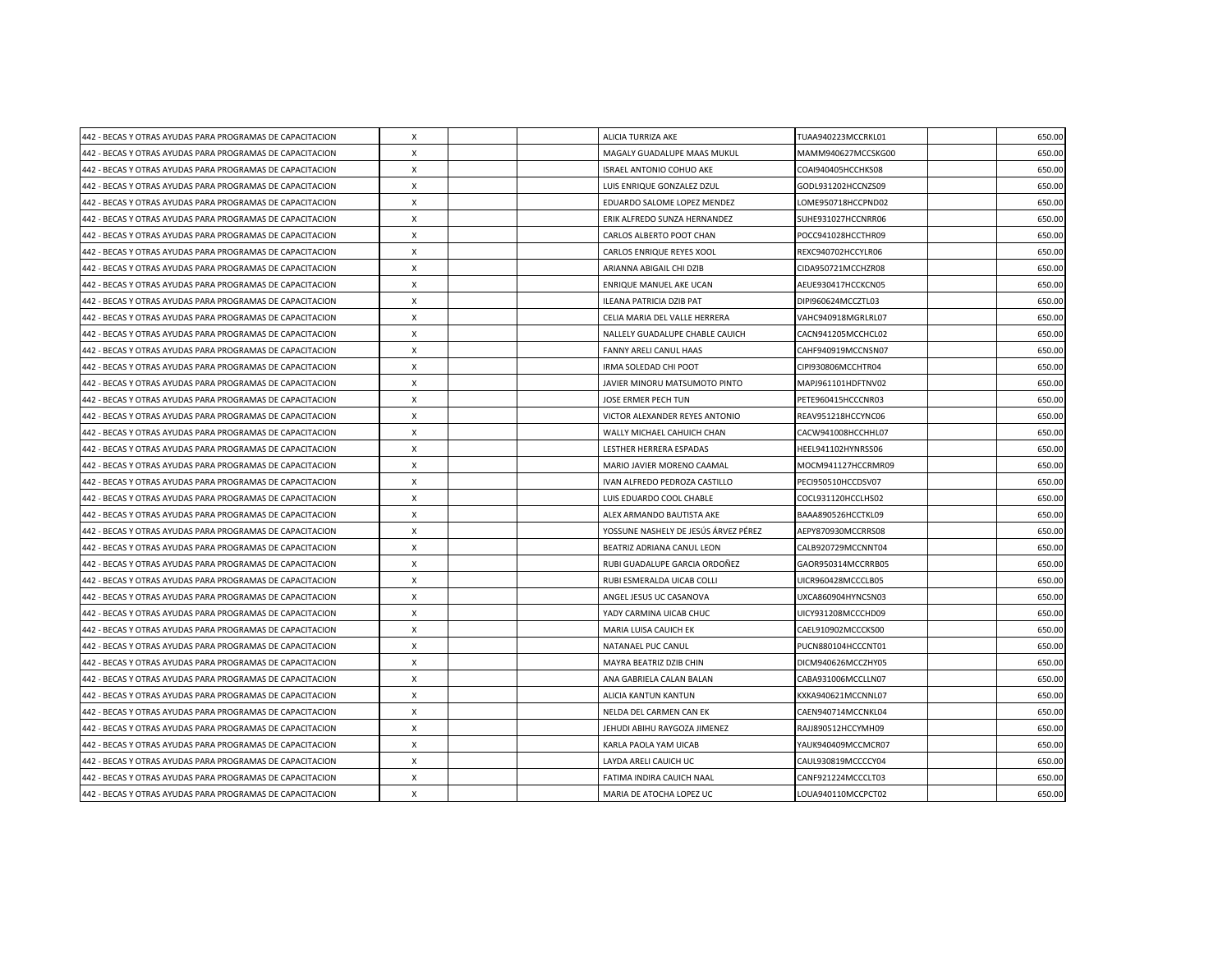| 442 - BECAS Y OTRAS AYUDAS PARA PROGRAMAS DE CAPACITACION | $\boldsymbol{\mathsf{X}}$ |  | ALICIA TURRIZA AKE                   | TUAA940223MCCRKL01 | 650.00 |
|-----------------------------------------------------------|---------------------------|--|--------------------------------------|--------------------|--------|
| 442 - BECAS Y OTRAS AYUDAS PARA PROGRAMAS DE CAPACITACION | X                         |  | MAGALY GUADALUPE MAAS MUKUL          | MAMM940627MCCSKG00 | 650.00 |
| 442 - BECAS Y OTRAS AYUDAS PARA PROGRAMAS DE CAPACITACION | $\boldsymbol{\mathsf{X}}$ |  | <b>ISRAEL ANTONIO COHUO AKE</b>      | COAI940405HCCHKS08 | 650.00 |
| 442 - BECAS Y OTRAS AYUDAS PARA PROGRAMAS DE CAPACITACION | $\boldsymbol{\mathsf{X}}$ |  | LUIS ENRIQUE GONZALEZ DZUL           | GODL931202HCCNZS09 | 650.00 |
| 442 - BECAS Y OTRAS AYUDAS PARA PROGRAMAS DE CAPACITACION | X                         |  | EDUARDO SALOME LOPEZ MENDEZ          | LOME950718HCCPND02 | 650.00 |
| 442 - BECAS Y OTRAS AYUDAS PARA PROGRAMAS DE CAPACITACION | $\boldsymbol{\mathsf{X}}$ |  | ERIK ALFREDO SUNZA HERNANDEZ         | SUHE931027HCCNRR06 | 650.00 |
| 442 - BECAS Y OTRAS AYUDAS PARA PROGRAMAS DE CAPACITACION | X                         |  | CARLOS ALBERTO POOT CHAN             | POCC941028HCCTHR09 | 650.00 |
| 442 - BECAS Y OTRAS AYUDAS PARA PROGRAMAS DE CAPACITACION | X                         |  | CARLOS ENRIQUE REYES XOOL            | REXC940702HCCYLR06 | 650.00 |
| 442 - BECAS Y OTRAS AYUDAS PARA PROGRAMAS DE CAPACITACION | $\boldsymbol{\mathsf{X}}$ |  | ARIANNA ABIGAIL CHI DZIB             | CIDA950721MCCHZR08 | 650.00 |
| 442 - BECAS Y OTRAS AYUDAS PARA PROGRAMAS DE CAPACITACION | $\boldsymbol{\mathsf{X}}$ |  | ENRIQUE MANUEL AKE UCAN              | AEUE930417HCCKCN05 | 650.00 |
| 442 - BECAS Y OTRAS AYUDAS PARA PROGRAMAS DE CAPACITACION | $\mathsf{x}$              |  | <b>ILEANA PATRICIA DZIB PAT</b>      | DIPI960624MCCZTL03 | 650.00 |
| 442 - BECAS Y OTRAS AYUDAS PARA PROGRAMAS DE CAPACITACION | $\boldsymbol{\mathsf{x}}$ |  | CELIA MARIA DEL VALLE HERRERA        | VAHC940918MGRLRL07 | 650.00 |
| 442 - BECAS Y OTRAS AYUDAS PARA PROGRAMAS DE CAPACITACION | X                         |  | NALLELY GUADALUPE CHABLE CAUICH      | CACN941205MCCHCL02 | 650.00 |
| 442 - BECAS Y OTRAS AYUDAS PARA PROGRAMAS DE CAPACITACION | $\boldsymbol{\mathsf{X}}$ |  | FANNY ARELI CANUL HAAS               | CAHF940919MCCNSN07 | 650.00 |
| 442 - BECAS Y OTRAS AYUDAS PARA PROGRAMAS DE CAPACITACION | $\times$                  |  | IRMA SOLEDAD CHI POOT                | CIPI930806MCCHTR04 | 650.00 |
| 442 - BECAS Y OTRAS AYUDAS PARA PROGRAMAS DE CAPACITACION | X                         |  | JAVIER MINORU MATSUMOTO PINTO        | MAPJ961101HDFTNV02 | 650.00 |
| 442 - BECAS Y OTRAS AYUDAS PARA PROGRAMAS DE CAPACITACION | $\boldsymbol{\mathsf{X}}$ |  | JOSE ERMER PECH TUN                  | PETE960415HCCCNR03 | 650.00 |
| 442 - BECAS Y OTRAS AYUDAS PARA PROGRAMAS DE CAPACITACION | $\times$                  |  | VICTOR ALEXANDER REYES ANTONIO       | REAV951218HCCYNC06 | 650.00 |
| 442 - BECAS Y OTRAS AYUDAS PARA PROGRAMAS DE CAPACITACION | $\times$                  |  | WALLY MICHAEL CAHUICH CHAN           | CACW941008HCCHHL07 | 650.00 |
| 442 - BECAS Y OTRAS AYUDAS PARA PROGRAMAS DE CAPACITACION | X                         |  | LESTHER HERRERA ESPADAS              | HEEL941102HYNRSS06 | 650.00 |
| 442 - BECAS Y OTRAS AYUDAS PARA PROGRAMAS DE CAPACITACION | X                         |  | MARIO JAVIER MORENO CAAMAL           | MOCM941127HCCRMR09 | 650.00 |
| 442 - BECAS Y OTRAS AYUDAS PARA PROGRAMAS DE CAPACITACION | X                         |  | IVAN ALFREDO PEDROZA CASTILLO        | PECI950510HCCDSV07 | 650.00 |
| 442 - BECAS Y OTRAS AYUDAS PARA PROGRAMAS DE CAPACITACION | X                         |  | LUIS EDUARDO COOL CHABLE             | COCL931120HCCLHS02 | 650.00 |
| 442 - BECAS Y OTRAS AYUDAS PARA PROGRAMAS DE CAPACITACION | $\times$                  |  | ALEX ARMANDO BAUTISTA AKE            | BAAA890526HCCTKL09 | 650.00 |
| 442 - BECAS Y OTRAS AYUDAS PARA PROGRAMAS DE CAPACITACION | X                         |  | YOSSUNE NASHELY DE JESÚS ÁRVEZ PÉREZ | AEPY870930MCCRRS08 | 650.00 |
| 442 - BECAS Y OTRAS AYUDAS PARA PROGRAMAS DE CAPACITACION | $\times$                  |  | BEATRIZ ADRIANA CANUL LEON           | CALB920729MCCNNT04 | 650.00 |
| 442 - BECAS Y OTRAS AYUDAS PARA PROGRAMAS DE CAPACITACION | $\boldsymbol{\mathsf{X}}$ |  | RUBI GUADALUPE GARCIA ORDOÑEZ        | GAOR950314MCCRRB05 | 650.00 |
| 442 - BECAS Y OTRAS AYUDAS PARA PROGRAMAS DE CAPACITACION | $\times$                  |  | RUBI ESMERALDA UICAB COLLI           | UICR960428MCCCLB05 | 650.00 |
| 442 - BECAS Y OTRAS AYUDAS PARA PROGRAMAS DE CAPACITACION | $\times$                  |  | ANGEL JESUS UC CASANOVA              | UXCA860904HYNCSN03 | 650.00 |
| 442 - BECAS Y OTRAS AYUDAS PARA PROGRAMAS DE CAPACITACION | X                         |  | YADY CARMINA UICAB CHUC              | UICY931208MCCCHD09 | 650.00 |
| 442 - BECAS Y OTRAS AYUDAS PARA PROGRAMAS DE CAPACITACION | $\times$                  |  | MARIA LUISA CAUICH EK                | CAEL910902MCCCKS00 | 650.00 |
| 442 - BECAS Y OTRAS AYUDAS PARA PROGRAMAS DE CAPACITACION | X                         |  | NATANAEL PUC CANUL                   | PUCN880104HCCCNT01 | 650.00 |
| 442 - BECAS Y OTRAS AYUDAS PARA PROGRAMAS DE CAPACITACION | $\boldsymbol{\mathsf{X}}$ |  | MAYRA BEATRIZ DZIB CHIN              | DICM940626MCCZHY05 | 650.00 |
| 442 - BECAS Y OTRAS AYUDAS PARA PROGRAMAS DE CAPACITACION | X                         |  | ANA GABRIELA CALAN BALAN             | CABA931006MCCLLN07 | 650.00 |
| 442 - BECAS Y OTRAS AYUDAS PARA PROGRAMAS DE CAPACITACION | X                         |  | ALICIA KANTUN KANTUN                 | KXKA940621MCCNNL07 | 650.00 |
| 442 - BECAS Y OTRAS AYUDAS PARA PROGRAMAS DE CAPACITACION | X                         |  | NELDA DEL CARMEN CAN EK              | CAEN940714MCCNKL04 | 650.00 |
| 442 - BECAS Y OTRAS AYUDAS PARA PROGRAMAS DE CAPACITACION | X                         |  | JEHUDI ABIHU RAYGOZA JIMENEZ         | RAJJ890512HCCYMH09 | 650.00 |
| 442 - BECAS Y OTRAS AYUDAS PARA PROGRAMAS DE CAPACITACION | $\boldsymbol{\mathsf{X}}$ |  | KARLA PAOLA YAM UICAB                | YAUK940409MCCMCR07 | 650.00 |
| 442 - BECAS Y OTRAS AYUDAS PARA PROGRAMAS DE CAPACITACION | $\boldsymbol{\mathsf{X}}$ |  | LAYDA ARELI CAUICH UC                | CAUL930819MCCCCY04 | 650.00 |
| 442 - BECAS Y OTRAS AYUDAS PARA PROGRAMAS DE CAPACITACION | X                         |  | FATIMA INDIRA CAUICH NAAL            | CANF921224MCCCLT03 | 650.00 |
| 442 - BECAS Y OTRAS AYUDAS PARA PROGRAMAS DE CAPACITACION | $\pmb{\times}$            |  | MARIA DE ATOCHA LOPEZ UC             | LOUA940110MCCPCT02 | 650.00 |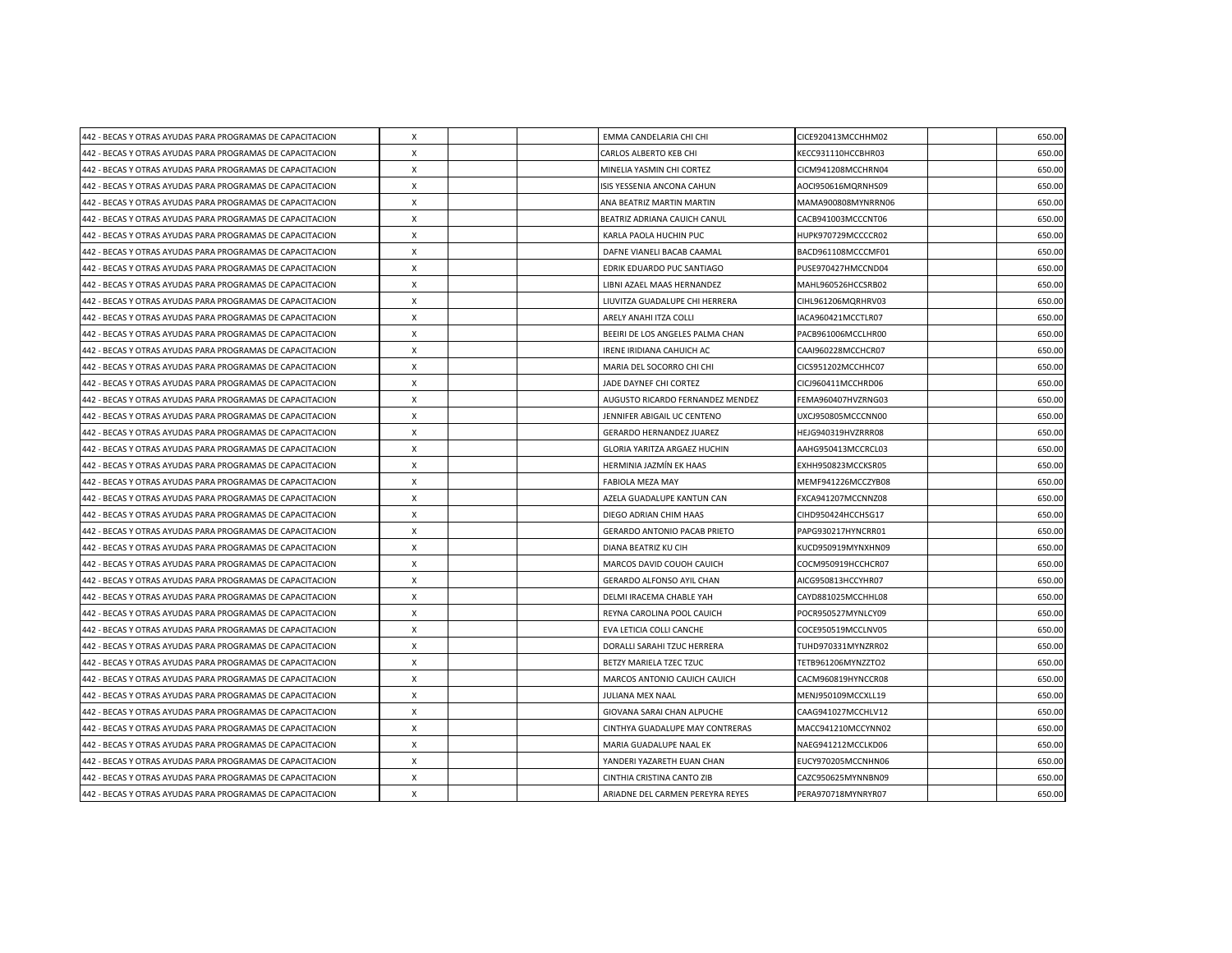| 442 - BECAS Y OTRAS AYUDAS PARA PROGRAMAS DE CAPACITACION | X                         |  | EMMA CANDELARIA CHI CHI             | CICE920413MCCHHM02 | 650.00 |
|-----------------------------------------------------------|---------------------------|--|-------------------------------------|--------------------|--------|
| 442 - BECAS Y OTRAS AYUDAS PARA PROGRAMAS DE CAPACITACION | X                         |  | CARLOS ALBERTO KEB CHI              | KECC931110HCCBHR03 | 650.00 |
| 442 - BECAS Y OTRAS AYUDAS PARA PROGRAMAS DE CAPACITACION | $\boldsymbol{\mathsf{X}}$ |  | MINELIA YASMIN CHI CORTEZ           | CICM941208MCCHRN04 | 650.00 |
| 442 - BECAS Y OTRAS AYUDAS PARA PROGRAMAS DE CAPACITACION | $\boldsymbol{\mathsf{X}}$ |  | ISIS YESSENIA ANCONA CAHUN          | AOCI950616MQRNHS09 | 650.00 |
| 442 - BECAS Y OTRAS AYUDAS PARA PROGRAMAS DE CAPACITACION | X                         |  | ANA BEATRIZ MARTIN MARTIN           | MAMA900808MYNRRN06 | 650.00 |
| 442 - BECAS Y OTRAS AYUDAS PARA PROGRAMAS DE CAPACITACION | $\boldsymbol{\mathsf{X}}$ |  | BEATRIZ ADRIANA CAUICH CANUL        | CACB941003MCCCNT06 | 650.00 |
| 442 - BECAS Y OTRAS AYUDAS PARA PROGRAMAS DE CAPACITACION | X                         |  | KARLA PAOLA HUCHIN PUC              | HUPK970729MCCCCR02 | 650.00 |
| 442 - BECAS Y OTRAS AYUDAS PARA PROGRAMAS DE CAPACITACION | X                         |  | DAFNE VIANELI BACAB CAAMAL          | BACD961108MCCCMF01 | 650.00 |
| 442 - BECAS Y OTRAS AYUDAS PARA PROGRAMAS DE CAPACITACION | $\boldsymbol{\mathsf{X}}$ |  | EDRIK EDUARDO PUC SANTIAGO          | PUSE970427HMCCND04 | 650.00 |
| 442 - BECAS Y OTRAS AYUDAS PARA PROGRAMAS DE CAPACITACION | $\boldsymbol{\mathsf{X}}$ |  | LIBNI AZAEL MAAS HERNANDEZ          | MAHL960526HCCSRB02 | 650.00 |
| 442 - BECAS Y OTRAS AYUDAS PARA PROGRAMAS DE CAPACITACION | $\mathsf{x}$              |  | LIUVITZA GUADALUPE CHI HERRERA      | CIHL961206MQRHRV03 | 650.00 |
| 442 - BECAS Y OTRAS AYUDAS PARA PROGRAMAS DE CAPACITACION | $\boldsymbol{\mathsf{x}}$ |  | ARELY ANAHI ITZA COLLI              | IACA960421MCCTLR07 | 650.00 |
| 442 - BECAS Y OTRAS AYUDAS PARA PROGRAMAS DE CAPACITACION | X                         |  | BEEIRI DE LOS ANGELES PALMA CHAN    | PACB961006MCCLHR00 | 650.00 |
| 442 - BECAS Y OTRAS AYUDAS PARA PROGRAMAS DE CAPACITACION | X                         |  | IRENE IRIDIANA CAHUICH AC           | CAAI960228MCCHCR07 | 650.00 |
| 442 - BECAS Y OTRAS AYUDAS PARA PROGRAMAS DE CAPACITACION | $\times$                  |  | MARIA DEL SOCORRO CHI CHI           | CICS951202MCCHHC07 | 650.00 |
| 442 - BECAS Y OTRAS AYUDAS PARA PROGRAMAS DE CAPACITACION | X                         |  | JADE DAYNEF CHI CORTEZ              | CICJ960411MCCHRD06 | 650.00 |
| 442 - BECAS Y OTRAS AYUDAS PARA PROGRAMAS DE CAPACITACION | $\boldsymbol{\mathsf{X}}$ |  | AUGUSTO RICARDO FERNANDEZ MENDEZ    | FEMA960407HVZRNG03 | 650.00 |
| 442 - BECAS Y OTRAS AYUDAS PARA PROGRAMAS DE CAPACITACION | $\times$                  |  | JENNIFER ABIGAIL UC CENTENO         | UXCJ950805MCCCNN00 | 650.00 |
| 442 - BECAS Y OTRAS AYUDAS PARA PROGRAMAS DE CAPACITACION | $\times$                  |  | GERARDO HERNANDEZ JUAREZ            | HEJG940319HVZRRR08 | 650.00 |
| 442 - BECAS Y OTRAS AYUDAS PARA PROGRAMAS DE CAPACITACION | X                         |  | GLORIA YARITZA ARGAEZ HUCHIN        | AAHG950413MCCRCL03 | 650.00 |
| 442 - BECAS Y OTRAS AYUDAS PARA PROGRAMAS DE CAPACITACION | X                         |  | HERMINIA JAZMÍN EK HAAS             | EXHH950823MCCKSR05 | 650.00 |
| 442 - BECAS Y OTRAS AYUDAS PARA PROGRAMAS DE CAPACITACION | X                         |  | <b>FABIOLA MEZA MAY</b>             | MEMF941226MCCZYB08 | 650.00 |
| 442 - BECAS Y OTRAS AYUDAS PARA PROGRAMAS DE CAPACITACION | X                         |  | AZELA GUADALUPE KANTUN CAN          | FXCA941207MCCNNZ08 | 650.00 |
| 442 - BECAS Y OTRAS AYUDAS PARA PROGRAMAS DE CAPACITACION | $\times$                  |  | DIEGO ADRIAN CHIM HAAS              | CIHD950424HCCHSG17 | 650.00 |
| 442 - BECAS Y OTRAS AYUDAS PARA PROGRAMAS DE CAPACITACION | X                         |  | <b>GERARDO ANTONIO PACAB PRIETO</b> | PAPG930217HYNCRR01 | 650.00 |
| 442 - BECAS Y OTRAS AYUDAS PARA PROGRAMAS DE CAPACITACION | $\times$                  |  | DIANA BEATRIZ KU CIH                | KUCD950919MYNXHN09 | 650.00 |
| 442 - BECAS Y OTRAS AYUDAS PARA PROGRAMAS DE CAPACITACION | $\boldsymbol{\mathsf{X}}$ |  | MARCOS DAVID COUOH CAUICH           | COCM950919HCCHCR07 | 650.00 |
| 442 - BECAS Y OTRAS AYUDAS PARA PROGRAMAS DE CAPACITACION | $\times$                  |  | <b>GERARDO ALFONSO AYIL CHAN</b>    | AICG950813HCCYHR07 | 650.00 |
| 442 - BECAS Y OTRAS AYUDAS PARA PROGRAMAS DE CAPACITACION | $\times$                  |  | DELMI IRACEMA CHABLE YAH            | CAYD881025MCCHHL08 | 650.00 |
| 442 - BECAS Y OTRAS AYUDAS PARA PROGRAMAS DE CAPACITACION | X                         |  | REYNA CAROLINA POOL CAUICH          | POCR950527MYNLCY09 | 650.00 |
| 442 - BECAS Y OTRAS AYUDAS PARA PROGRAMAS DE CAPACITACION | $\times$                  |  | EVA LETICIA COLLI CANCHE            | COCE950519MCCLNV05 | 650.00 |
| 442 - BECAS Y OTRAS AYUDAS PARA PROGRAMAS DE CAPACITACION | X                         |  | DORALLI SARAHI TZUC HERRERA         | TUHD970331MYNZRR02 | 650.00 |
| 442 - BECAS Y OTRAS AYUDAS PARA PROGRAMAS DE CAPACITACION | X                         |  | BETZY MARIELA TZEC TZUC             | TETB961206MYNZZTO2 | 650.00 |
| 442 - BECAS Y OTRAS AYUDAS PARA PROGRAMAS DE CAPACITACION | X                         |  | MARCOS ANTONIO CAUICH CAUICH        | CACM960819HYNCCR08 | 650.00 |
| 442 - BECAS Y OTRAS AYUDAS PARA PROGRAMAS DE CAPACITACION | X                         |  | JULIANA MEX NAAL                    | MENJ950109MCCXLL19 | 650.00 |
| 442 - BECAS Y OTRAS AYUDAS PARA PROGRAMAS DE CAPACITACION | X                         |  | GIOVANA SARAI CHAN ALPUCHE          | CAAG941027MCCHLV12 | 650.00 |
| 442 - BECAS Y OTRAS AYUDAS PARA PROGRAMAS DE CAPACITACION | X                         |  | CINTHYA GUADALUPE MAY CONTRERAS     | MACC941210MCCYNN02 | 650.00 |
| 442 - BECAS Y OTRAS AYUDAS PARA PROGRAMAS DE CAPACITACION | $\boldsymbol{\mathsf{X}}$ |  | MARIA GUADALUPE NAAL EK             | NAEG941212MCCLKD06 | 650.00 |
| 442 - BECAS Y OTRAS AYUDAS PARA PROGRAMAS DE CAPACITACION | $\boldsymbol{\mathsf{X}}$ |  | YANDERI YAZARETH EUAN CHAN          | EUCY970205MCCNHN06 | 650.00 |
| 442 - BECAS Y OTRAS AYUDAS PARA PROGRAMAS DE CAPACITACION | X                         |  | CINTHIA CRISTINA CANTO ZIB          | CAZC950625MYNNBN09 | 650.00 |
| 442 - BECAS Y OTRAS AYUDAS PARA PROGRAMAS DE CAPACITACION | $\pmb{\times}$            |  | ARIADNE DEL CARMEN PEREYRA REYES    | PERA970718MYNRYR07 | 650.00 |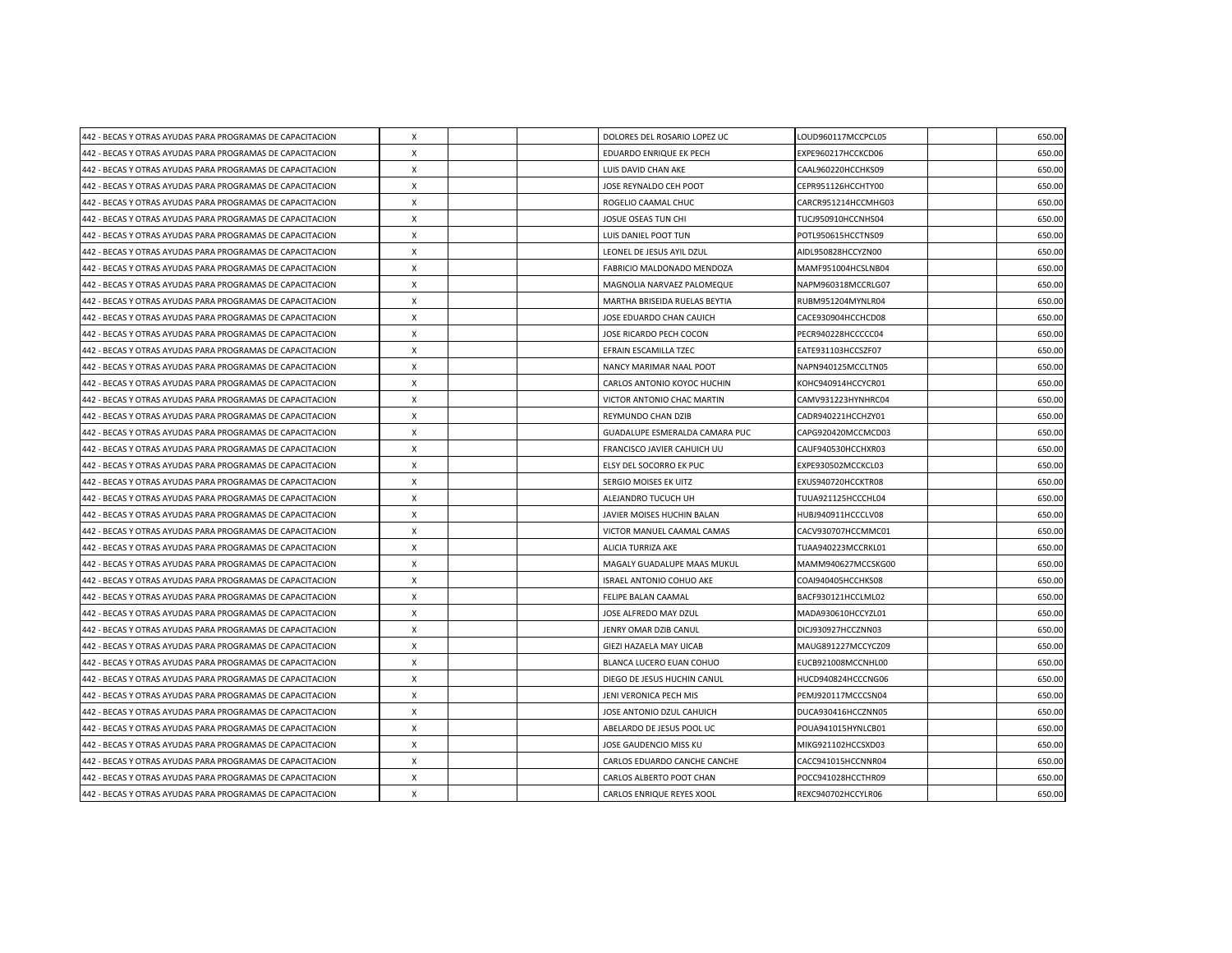| 442 - BECAS Y OTRAS AYUDAS PARA PROGRAMAS DE CAPACITACION | X                         |  | DOLORES DEL ROSARIO LOPEZ UC    | LOUD960117MCCPCL05  | 650.00 |
|-----------------------------------------------------------|---------------------------|--|---------------------------------|---------------------|--------|
| 442 - BECAS Y OTRAS AYUDAS PARA PROGRAMAS DE CAPACITACION | X                         |  | EDUARDO ENRIQUE EK PECH         | EXPE960217HCCKCD06  | 650.00 |
| 442 - BECAS Y OTRAS AYUDAS PARA PROGRAMAS DE CAPACITACION | X                         |  | LUIS DAVID CHAN AKE             | CAAL960220HCCHKS09  | 650.00 |
| 442 - BECAS Y OTRAS AYUDAS PARA PROGRAMAS DE CAPACITACION | $\boldsymbol{\mathsf{X}}$ |  | JOSE REYNALDO CEH POOT          | CEPR951126HCCHTY00  | 650.00 |
| 442 - BECAS Y OTRAS AYUDAS PARA PROGRAMAS DE CAPACITACION | $\mathsf{x}$              |  | ROGELIO CAAMAL CHUC             | CARCR951214HCCMHG03 | 650.00 |
| 442 - BECAS Y OTRAS AYUDAS PARA PROGRAMAS DE CAPACITACION | $\boldsymbol{\mathsf{X}}$ |  | JOSUE OSEAS TUN CHI             | TUCJ950910HCCNHS04  | 650.00 |
| 442 - BECAS Y OTRAS AYUDAS PARA PROGRAMAS DE CAPACITACION | $\times$                  |  | LUIS DANIEL POOT TUN            | POTL950615HCCTNS09  | 650.00 |
| 442 - BECAS Y OTRAS AYUDAS PARA PROGRAMAS DE CAPACITACION | X                         |  | LEONEL DE JESUS AYIL DZUL       | AIDL950828HCCYZN00  | 650.00 |
| 442 - BECAS Y OTRAS AYUDAS PARA PROGRAMAS DE CAPACITACION | X                         |  | FABRICIO MALDONADO MENDOZA      | MAMF951004HCSLNB04  | 650.00 |
| 442 - BECAS Y OTRAS AYUDAS PARA PROGRAMAS DE CAPACITACION | $\times$                  |  | MAGNOLIA NARVAEZ PALOMEQUE      | NAPM960318MCCRLG07  | 650.00 |
| 442 - BECAS Y OTRAS AYUDAS PARA PROGRAMAS DE CAPACITACION | $\times$                  |  | MARTHA BRISEIDA RUELAS BEYTIA   | RUBM951204MYNLR04   | 650.00 |
| 442 - BECAS Y OTRAS AYUDAS PARA PROGRAMAS DE CAPACITACION | X                         |  | JOSE EDUARDO CHAN CAUICH        | CACE930904HCCHCD08  | 650.00 |
| 442 - BECAS Y OTRAS AYUDAS PARA PROGRAMAS DE CAPACITACION | $\mathsf{x}$              |  | JOSE RICARDO PECH COCON         | PECR940228HCCCCC04  | 650.00 |
| 442 - BECAS Y OTRAS AYUDAS PARA PROGRAMAS DE CAPACITACION | $\times$                  |  | EFRAIN ESCAMILLA TZEC           | EATE931103HCCSZF07  | 650.00 |
| 442 - BECAS Y OTRAS AYUDAS PARA PROGRAMAS DE CAPACITACION | $\times$                  |  | NANCY MARIMAR NAAL POOT         | NAPN940125MCCLTN05  | 650.00 |
| 442 - BECAS Y OTRAS AYUDAS PARA PROGRAMAS DE CAPACITACION | X                         |  | CARLOS ANTONIO KOYOC HUCHIN     | KOHC940914HCCYCR01  | 650.00 |
| 442 - BECAS Y OTRAS AYUDAS PARA PROGRAMAS DE CAPACITACION | X                         |  | VICTOR ANTONIO CHAC MARTIN      | CAMV931223HYNHRC04  | 650.00 |
| 442 - BECAS Y OTRAS AYUDAS PARA PROGRAMAS DE CAPACITACION | $\times$                  |  | REYMUNDO CHAN DZIB              | CADR940221HCCHZY01  | 650.00 |
| 442 - BECAS Y OTRAS AYUDAS PARA PROGRAMAS DE CAPACITACION | $\times$                  |  | GUADALUPE ESMERALDA CAMARA PUC  | CAPG920420MCCMCD03  | 650.00 |
| 442 - BECAS Y OTRAS AYUDAS PARA PROGRAMAS DE CAPACITACION | X                         |  | FRANCISCO JAVIER CAHUICH UU     | CAUF940530HCCHXR03  | 650.00 |
| 442 - BECAS Y OTRAS AYUDAS PARA PROGRAMAS DE CAPACITACION | X                         |  | ELSY DEL SOCORRO EK PUC         | EXPE930502MCCKCL03  | 650.00 |
| 442 - BECAS Y OTRAS AYUDAS PARA PROGRAMAS DE CAPACITACION | X                         |  | SERGIO MOISES EK UITZ           | EXUS940720HCCKTR08  | 650.00 |
| 442 - BECAS Y OTRAS AYUDAS PARA PROGRAMAS DE CAPACITACION | X                         |  | ALEJANDRO TUCUCH UH             | TUUA921125HCCCHL04  | 650.00 |
| 442 - BECAS Y OTRAS AYUDAS PARA PROGRAMAS DE CAPACITACION | X                         |  | JAVIER MOISES HUCHIN BALAN      | HUBJ940911HCCCLV08  | 650.00 |
| 442 - BECAS Y OTRAS AYUDAS PARA PROGRAMAS DE CAPACITACION | X                         |  | VICTOR MANUEL CAAMAL CAMAS      | CACV930707HCCMMC01  | 650.00 |
| 442 - BECAS Y OTRAS AYUDAS PARA PROGRAMAS DE CAPACITACION | $\boldsymbol{\mathsf{X}}$ |  | <b>ALICIA TURRIZA AKE</b>       | TUAA940223MCCRKL01  | 650.00 |
| 442 - BECAS Y OTRAS AYUDAS PARA PROGRAMAS DE CAPACITACION | $\boldsymbol{\mathsf{X}}$ |  | MAGALY GUADALUPE MAAS MUKUL     | MAMM940627MCCSKG00  | 650.00 |
| 442 - BECAS Y OTRAS AYUDAS PARA PROGRAMAS DE CAPACITACION | $\mathsf{x}$              |  | <b>ISRAEL ANTONIO COHUO AKE</b> | COAI940405HCCHKS08  | 650.00 |
| 442 - BECAS Y OTRAS AYUDAS PARA PROGRAMAS DE CAPACITACION | $\boldsymbol{\mathsf{X}}$ |  | FELIPE BALAN CAAMAL             | BACF930121HCCLML02  | 650.00 |
| 442 - BECAS Y OTRAS AYUDAS PARA PROGRAMAS DE CAPACITACION | X                         |  | JOSE ALFREDO MAY DZUL           | MADA930610HCCYZL01  | 650.00 |
| 442 - BECAS Y OTRAS AYUDAS PARA PROGRAMAS DE CAPACITACION | X                         |  | JENRY OMAR DZIB CANUL           | DICJ930927HCCZNN03  | 650.00 |
| 442 - BECAS Y OTRAS AYUDAS PARA PROGRAMAS DE CAPACITACION | $\mathsf{x}$              |  | GIEZI HAZAELA MAY UICAB         | MAUG891227MCCYCZ09  | 650.00 |
| 442 - BECAS Y OTRAS AYUDAS PARA PROGRAMAS DE CAPACITACION | $\boldsymbol{\mathsf{X}}$ |  | BLANCA LUCERO EUAN COHUO        | EUCB921008MCCNHL00  | 650.00 |
| 442 - BECAS Y OTRAS AYUDAS PARA PROGRAMAS DE CAPACITACION | X                         |  | DIEGO DE JESUS HUCHIN CANUL     | HUCD940824HCCCNG06  | 650.00 |
| 442 - BECAS Y OTRAS AYUDAS PARA PROGRAMAS DE CAPACITACION | $\times$                  |  | JENI VERONICA PECH MIS          | PEMJ920117MCCCSN04  | 650.00 |
| 442 - BECAS Y OTRAS AYUDAS PARA PROGRAMAS DE CAPACITACION | X                         |  | JOSE ANTONIO DZUL CAHUICH       | DUCA930416HCCZNN05  | 650.00 |
| 442 - BECAS Y OTRAS AYUDAS PARA PROGRAMAS DE CAPACITACION | $\boldsymbol{\mathsf{X}}$ |  | ABELARDO DE JESUS POOL UC       | POUA941015HYNLCB01  | 650.00 |
| 442 - BECAS Y OTRAS AYUDAS PARA PROGRAMAS DE CAPACITACION | $\boldsymbol{\mathsf{X}}$ |  | JOSE GAUDENCIO MISS KU          | MIKG921102HCCSXD03  | 650.00 |
| 442 - BECAS Y OTRAS AYUDAS PARA PROGRAMAS DE CAPACITACION | $\times$                  |  | CARLOS EDUARDO CANCHE CANCHE    | CACC941015HCCNNR04  | 650.00 |
| 442 - BECAS Y OTRAS AYUDAS PARA PROGRAMAS DE CAPACITACION | X                         |  | CARLOS ALBERTO POOT CHAN        | POCC941028HCCTHR09  | 650.00 |
| 442 - BECAS Y OTRAS AYUDAS PARA PROGRAMAS DE CAPACITACION | X                         |  | CARLOS ENRIQUE REYES XOOL       | REXC940702HCCYLR06  | 650.00 |